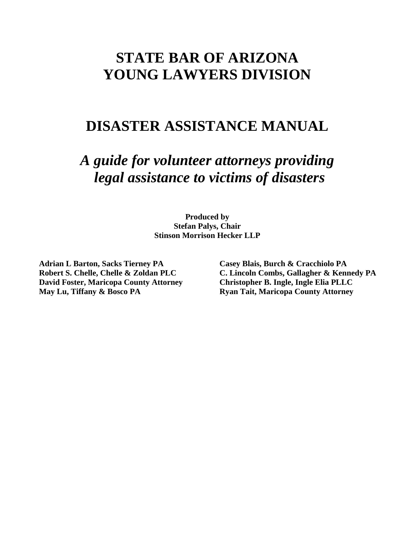# **STATE BAR OF ARIZONA YOUNG LAWYERS DIVISION**

# **DISASTER ASSISTANCE MANUAL**

*A guide for volunteer attorneys providing legal assistance to victims of disasters*

> **Produced by Stefan Palys, Chair Stinson Morrison Hecker LLP**

**Adrian L Barton, Sacks Tierney PA Casey Blais, Burch & Cracchiolo PA David Foster, Maricopa County Attorney Christopher B. Ingle, Ingle Elia PLLC May Lu, Tiffany & Bosco PA Ryan Tait, Maricopa County Attorney** 

**Robert S. Chelle, Chelle & Zoldan PLC C. Lincoln Combs, Gallagher & Kennedy PA**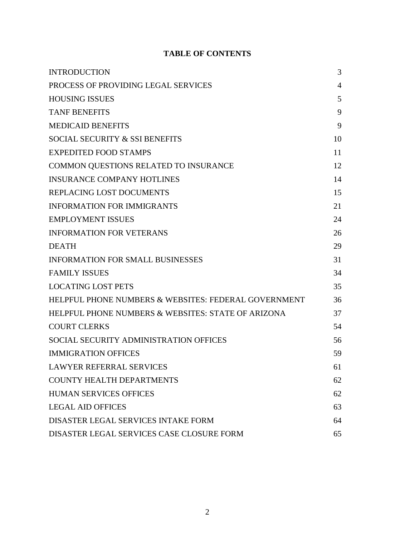# **TABLE OF CONTENTS**

| <b>INTRODUCTION</b>                                  | 3              |
|------------------------------------------------------|----------------|
| PROCESS OF PROVIDING LEGAL SERVICES                  | $\overline{4}$ |
| <b>HOUSING ISSUES</b>                                | 5              |
| <b>TANF BENEFITS</b>                                 | 9              |
| <b>MEDICAID BENEFITS</b>                             | 9              |
| SOCIAL SECURITY & SSI BENEFITS                       | 10             |
| <b>EXPEDITED FOOD STAMPS</b>                         | 11             |
| COMMON QUESTIONS RELATED TO INSURANCE                | 12             |
| <b>INSURANCE COMPANY HOTLINES</b>                    | 14             |
| REPLACING LOST DOCUMENTS                             | 15             |
| <b>INFORMATION FOR IMMIGRANTS</b>                    | 21             |
| <b>EMPLOYMENT ISSUES</b>                             | 24             |
| <b>INFORMATION FOR VETERANS</b>                      | 26             |
| <b>DEATH</b>                                         | 29             |
| <b>INFORMATION FOR SMALL BUSINESSES</b>              | 31             |
| <b>FAMILY ISSUES</b>                                 | 34             |
| <b>LOCATING LOST PETS</b>                            | 35             |
| HELPFUL PHONE NUMBERS & WEBSITES: FEDERAL GOVERNMENT | 36             |
| HELPFUL PHONE NUMBERS & WEBSITES: STATE OF ARIZONA   | 37             |
| <b>COURT CLERKS</b>                                  | 54             |
| SOCIAL SECURITY ADMINISTRATION OFFICES               | 56             |
| <b>IMMIGRATION OFFICES</b>                           | 59             |
| <b>LAWYER REFERRAL SERVICES</b>                      | 61             |
| <b>COUNTY HEALTH DEPARTMENTS</b>                     | 62             |
| <b>HUMAN SERVICES OFFICES</b>                        | 62             |
| <b>LEGAL AID OFFICES</b>                             | 63             |
| DISASTER LEGAL SERVICES INTAKE FORM                  | 64             |
| DISASTER LEGAL SERVICES CASE CLOSURE FORM            | 65             |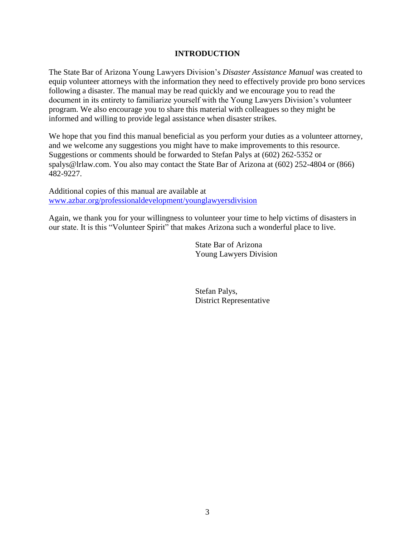## **INTRODUCTION**

The State Bar of Arizona Young Lawyers Division's *Disaster Assistance Manual* was created to equip volunteer attorneys with the information they need to effectively provide pro bono services following a disaster. The manual may be read quickly and we encourage you to read the document in its entirety to familiarize yourself with the Young Lawyers Division's volunteer program. We also encourage you to share this material with colleagues so they might be informed and willing to provide legal assistance when disaster strikes.

We hope that you find this manual beneficial as you perform your duties as a volunteer attorney, and we welcome any suggestions you might have to make improvements to this resource. Suggestions or comments should be forwarded to Stefan Palys at (602) 262-5352 or spalys@lrlaw.com. You also may contact the State Bar of Arizona at (602) 252-4804 or (866) 482-9227.

Additional copies of this manual are available at [www.azbar.org/professionaldevelopment/younglawyersdivision](http://www.azbar.org/professionaldevelopment/younglawyersdivision)

Again, we thank you for your willingness to volunteer your time to help victims of disasters in our state. It is this "Volunteer Spirit" that makes Arizona such a wonderful place to live.

> State Bar of Arizona Young Lawyers Division

Stefan Palys, District Representative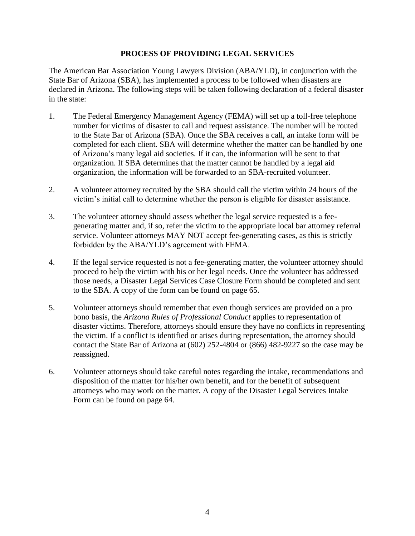## **PROCESS OF PROVIDING LEGAL SERVICES**

The American Bar Association Young Lawyers Division (ABA/YLD), in conjunction with the State Bar of Arizona (SBA), has implemented a process to be followed when disasters are declared in Arizona. The following steps will be taken following declaration of a federal disaster in the state:

- 1. The Federal Emergency Management Agency (FEMA) will set up a toll-free telephone number for victims of disaster to call and request assistance. The number will be routed to the State Bar of Arizona (SBA). Once the SBA receives a call, an intake form will be completed for each client. SBA will determine whether the matter can be handled by one of Arizona's many legal aid societies. If it can, the information will be sent to that organization. If SBA determines that the matter cannot be handled by a legal aid organization, the information will be forwarded to an SBA-recruited volunteer.
- 2. A volunteer attorney recruited by the SBA should call the victim within 24 hours of the victim's initial call to determine whether the person is eligible for disaster assistance.
- 3. The volunteer attorney should assess whether the legal service requested is a feegenerating matter and, if so, refer the victim to the appropriate local bar attorney referral service. Volunteer attorneys MAY NOT accept fee-generating cases, as this is strictly forbidden by the ABA/YLD's agreement with FEMA.
- 4. If the legal service requested is not a fee-generating matter, the volunteer attorney should proceed to help the victim with his or her legal needs. Once the volunteer has addressed those needs, a Disaster Legal Services Case Closure Form should be completed and sent to the SBA. A copy of the form can be found on page 65.
- 5. Volunteer attorneys should remember that even though services are provided on a pro bono basis, the *Arizona Rules of Professional Conduct* applies to representation of disaster victims. Therefore, attorneys should ensure they have no conflicts in representing the victim. If a conflict is identified or arises during representation, the attorney should contact the State Bar of Arizona at (602) 252-4804 or (866) 482-9227 so the case may be reassigned.
- 6. Volunteer attorneys should take careful notes regarding the intake, recommendations and disposition of the matter for his/her own benefit, and for the benefit of subsequent attorneys who may work on the matter. A copy of the Disaster Legal Services Intake Form can be found on page 64.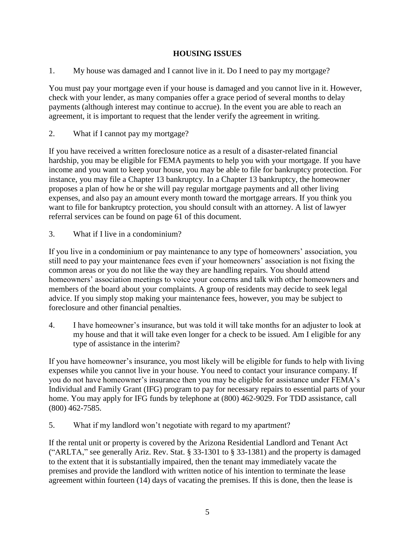# **HOUSING ISSUES**

1. My house was damaged and I cannot live in it. Do I need to pay my mortgage?

You must pay your mortgage even if your house is damaged and you cannot live in it. However, check with your lender, as many companies offer a grace period of several months to delay payments (although interest may continue to accrue). In the event you are able to reach an agreement, it is important to request that the lender verify the agreement in writing.

2. What if I cannot pay my mortgage?

If you have received a written foreclosure notice as a result of a disaster-related financial hardship, you may be eligible for FEMA payments to help you with your mortgage. If you have income and you want to keep your house, you may be able to file for bankruptcy protection. For instance, you may file a Chapter 13 bankruptcy. In a Chapter 13 bankruptcy, the homeowner proposes a plan of how he or she will pay regular mortgage payments and all other living expenses, and also pay an amount every month toward the mortgage arrears. If you think you want to file for bankruptcy protection, you should consult with an attorney. A list of lawyer referral services can be found on page 61 of this document.

3. What if I live in a condominium?

If you live in a condominium or pay maintenance to any type of homeowners' association, you still need to pay your maintenance fees even if your homeowners' association is not fixing the common areas or you do not like the way they are handling repairs. You should attend homeowners' association meetings to voice your concerns and talk with other homeowners and members of the board about your complaints. A group of residents may decide to seek legal advice. If you simply stop making your maintenance fees, however, you may be subject to foreclosure and other financial penalties.

4. I have homeowner's insurance, but was told it will take months for an adjuster to look at my house and that it will take even longer for a check to be issued. Am I eligible for any type of assistance in the interim?

If you have homeowner's insurance, you most likely will be eligible for funds to help with living expenses while you cannot live in your house. You need to contact your insurance company. If you do not have homeowner's insurance then you may be eligible for assistance under FEMA's Individual and Family Grant (IFG) program to pay for necessary repairs to essential parts of your home. You may apply for IFG funds by telephone at (800) 462-9029. For TDD assistance, call (800) 462-7585.

5. What if my landlord won't negotiate with regard to my apartment?

If the rental unit or property is covered by the Arizona Residential Landlord and Tenant Act ("ARLTA," see generally Ariz. Rev. Stat. § 33-1301 to § 33-1381) and the property is damaged to the extent that it is substantially impaired, then the tenant may immediately vacate the premises and provide the landlord with written notice of his intention to terminate the lease agreement within fourteen (14) days of vacating the premises. If this is done, then the lease is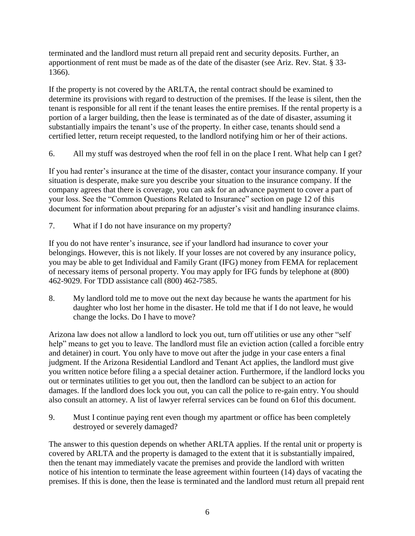terminated and the landlord must return all prepaid rent and security deposits. Further, an apportionment of rent must be made as of the date of the disaster (see Ariz. Rev. Stat. § 33- 1366).

If the property is not covered by the ARLTA, the rental contract should be examined to determine its provisions with regard to destruction of the premises. If the lease is silent, then the tenant is responsible for all rent if the tenant leases the entire premises. If the rental property is a portion of a larger building, then the lease is terminated as of the date of disaster, assuming it substantially impairs the tenant's use of the property. In either case, tenants should send a certified letter, return receipt requested, to the landlord notifying him or her of their actions.

6. All my stuff was destroyed when the roof fell in on the place I rent. What help can I get?

If you had renter's insurance at the time of the disaster, contact your insurance company. If your situation is desperate, make sure you describe your situation to the insurance company. If the company agrees that there is coverage, you can ask for an advance payment to cover a part of your loss. See the "Common Questions Related to Insurance" section on page 12 of this document for information about preparing for an adjuster's visit and handling insurance claims.

7. What if I do not have insurance on my property?

If you do not have renter's insurance, see if your landlord had insurance to cover your belongings. However, this is not likely. If your losses are not covered by any insurance policy, you may be able to get Individual and Family Grant (IFG) money from FEMA for replacement of necessary items of personal property. You may apply for IFG funds by telephone at (800) 462-9029. For TDD assistance call (800) 462-7585.

8. My landlord told me to move out the next day because he wants the apartment for his daughter who lost her home in the disaster. He told me that if I do not leave, he would change the locks. Do I have to move?

Arizona law does not allow a landlord to lock you out, turn off utilities or use any other "self help" means to get you to leave. The landlord must file an eviction action (called a forcible entry and detainer) in court. You only have to move out after the judge in your case enters a final judgment. If the Arizona Residential Landlord and Tenant Act applies, the landlord must give you written notice before filing a a special detainer action. Furthermore, if the landlord locks you out or terminates utilities to get you out, then the landlord can be subject to an action for damages. If the landlord does lock you out, you can call the police to re-gain entry. You should also consult an attorney. A list of lawyer referral services can be found on 61of this document.

9. Must I continue paying rent even though my apartment or office has been completely destroyed or severely damaged?

The answer to this question depends on whether ARLTA applies. If the rental unit or property is covered by ARLTA and the property is damaged to the extent that it is substantially impaired, then the tenant may immediately vacate the premises and provide the landlord with written notice of his intention to terminate the lease agreement within fourteen (14) days of vacating the premises. If this is done, then the lease is terminated and the landlord must return all prepaid rent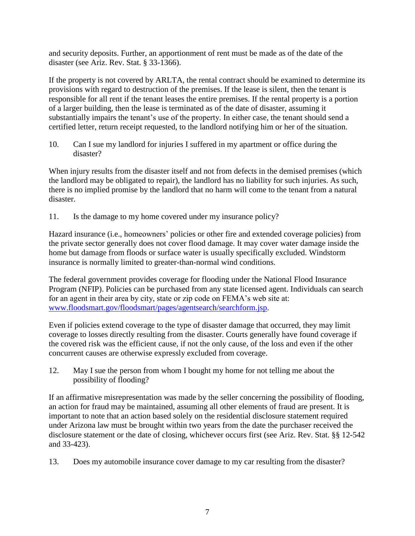and security deposits. Further, an apportionment of rent must be made as of the date of the disaster (see Ariz. Rev. Stat. § 33-1366).

If the property is not covered by ARLTA, the rental contract should be examined to determine its provisions with regard to destruction of the premises. If the lease is silent, then the tenant is responsible for all rent if the tenant leases the entire premises. If the rental property is a portion of a larger building, then the lease is terminated as of the date of disaster, assuming it substantially impairs the tenant's use of the property. In either case, the tenant should send a certified letter, return receipt requested, to the landlord notifying him or her of the situation.

10. Can I sue my landlord for injuries I suffered in my apartment or office during the disaster?

When injury results from the disaster itself and not from defects in the demised premises (which the landlord may be obligated to repair), the landlord has no liability for such injuries. As such, there is no implied promise by the landlord that no harm will come to the tenant from a natural disaster.

11. Is the damage to my home covered under my insurance policy?

Hazard insurance (i.e., homeowners' policies or other fire and extended coverage policies) from the private sector generally does not cover flood damage. It may cover water damage inside the home but damage from floods or surface water is usually specifically excluded. Windstorm insurance is normally limited to greater-than-normal wind conditions.

The federal government provides coverage for flooding under the National Flood Insurance Program (NFIP). Policies can be purchased from any state licensed agent. Individuals can search for an agent in their area by city, state or zip code on FEMA's web site at: [www.floodsmart.gov/floodsmart/pages/agentsearch/searchform.jsp.](http://www.floodsmart.gov/floodsmart/pages/agentsearch/searchform.jsp)

Even if policies extend coverage to the type of disaster damage that occurred, they may limit coverage to losses directly resulting from the disaster. Courts generally have found coverage if the covered risk was the efficient cause, if not the only cause, of the loss and even if the other concurrent causes are otherwise expressly excluded from coverage.

12. May I sue the person from whom I bought my home for not telling me about the possibility of flooding?

If an affirmative misrepresentation was made by the seller concerning the possibility of flooding, an action for fraud may be maintained, assuming all other elements of fraud are present. It is important to note that an action based solely on the residential disclosure statement required under Arizona law must be brought within two years from the date the purchaser received the disclosure statement or the date of closing, whichever occurs first (see Ariz. Rev. Stat. §§ 12-542 and 33-423).

13. Does my automobile insurance cover damage to my car resulting from the disaster?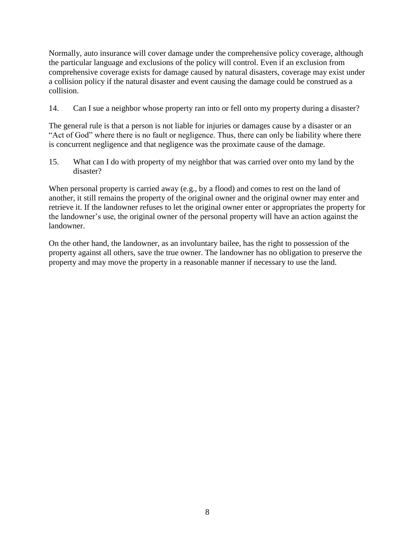Normally, auto insurance will cover damage under the comprehensive policy coverage, although the particular language and exclusions of the policy will control. Even if an exclusion from comprehensive coverage exists for damage caused by natural disasters, coverage may exist under a collision policy if the natural disaster and event causing the damage could be construed as a collision.

14. Can I sue a neighbor whose property ran into or fell onto my property during a disaster?

The general rule is that a person is not liable for injuries or damages cause by a disaster or an "Act of God" where there is no fault or negligence. Thus, there can only be liability where there is concurrent negligence and that negligence was the proximate cause of the damage.

15. What can I do with property of my neighbor that was carried over onto my land by the disaster?

When personal property is carried away (e.g., by a flood) and comes to rest on the land of another, it still remains the property of the original owner and the original owner may enter and retrieve it. If the landowner refuses to let the original owner enter or appropriates the property for the landowner's use, the original owner of the personal property will have an action against the landowner.

On the other hand, the landowner, as an involuntary bailee, has the right to possession of the property against all others, save the true owner. The landowner has no obligation to preserve the property and may move the property in a reasonable manner if necessary to use the land.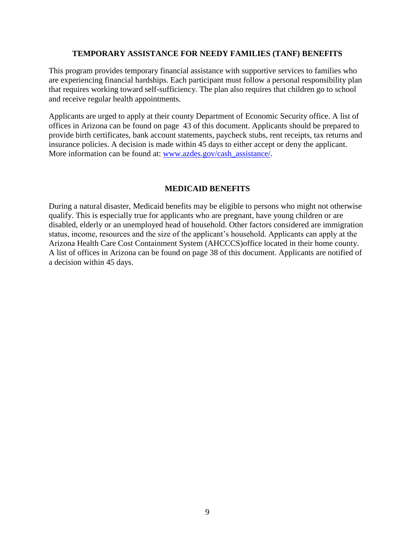## **TEMPORARY ASSISTANCE FOR NEEDY FAMILIES (TANF) BENEFITS**

This program provides temporary financial assistance with supportive services to families who are experiencing financial hardships. Each participant must follow a personal responsibility plan that requires working toward self-sufficiency. The plan also requires that children go to school and receive regular health appointments.

Applicants are urged to apply at their county Department of Economic Security office. A list of offices in Arizona can be found on page 43 of this document. Applicants should be prepared to provide birth certificates, bank account statements, paycheck stubs, rent receipts, tax returns and insurance policies. A decision is made within 45 days to either accept or deny the applicant. More information can be found at: [www.azdes.gov/cash\\_assistance/.](http://www.azdes.gov/cash_assistance/)

## **MEDICAID BENEFITS**

During a natural disaster, Medicaid benefits may be eligible to persons who might not otherwise qualify. This is especially true for applicants who are pregnant, have young children or are disabled, elderly or an unemployed head of household. Other factors considered are immigration status, income, resources and the size of the applicant's household. Applicants can apply at the Arizona Health Care Cost Containment System (AHCCCS)office located in their home county. A list of offices in Arizona can be found on page 38 of this document. Applicants are notified of a decision within 45 days.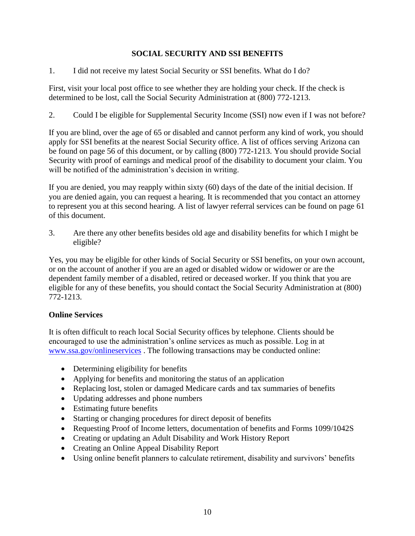# **SOCIAL SECURITY AND SSI BENEFITS**

1. I did not receive my latest Social Security or SSI benefits. What do I do?

First, visit your local post office to see whether they are holding your check. If the check is determined to be lost, call the Social Security Administration at (800) 772-1213.

2. Could I be eligible for Supplemental Security Income (SSI) now even if I was not before?

If you are blind, over the age of 65 or disabled and cannot perform any kind of work, you should apply for SSI benefits at the nearest Social Security office. A list of offices serving Arizona can be found on page 56 of this document, or by calling (800) 772-1213. You should provide Social Security with proof of earnings and medical proof of the disability to document your claim. You will be notified of the administration's decision in writing.

If you are denied, you may reapply within sixty (60) days of the date of the initial decision. If you are denied again, you can request a hearing. It is recommended that you contact an attorney to represent you at this second hearing. A list of lawyer referral services can be found on page 61 of this document.

3. Are there any other benefits besides old age and disability benefits for which I might be eligible?

Yes, you may be eligible for other kinds of Social Security or SSI benefits, on your own account, or on the account of another if you are an aged or disabled widow or widower or are the dependent family member of a disabled, retired or deceased worker. If you think that you are eligible for any of these benefits, you should contact the Social Security Administration at (800) 772-1213.

# **Online Services**

It is often difficult to reach local Social Security offices by telephone. Clients should be encouraged to use the administration's online services as much as possible. Log in at [www.ssa.gov/onlineservices](http://www.ssa.gov/onlineservices) . The following transactions may be conducted online:

- Determining eligibility for benefits
- Applying for benefits and monitoring the status of an application
- Replacing lost, stolen or damaged Medicare cards and tax summaries of benefits
- Updating addresses and phone numbers
- Estimating future benefits
- Starting or changing procedures for direct deposit of benefits
- Requesting Proof of Income letters, documentation of benefits and Forms 1099/1042S
- Creating or updating an Adult Disability and Work History Report
- Creating an Online Appeal Disability Report
- Using online benefit planners to calculate retirement, disability and survivors' benefits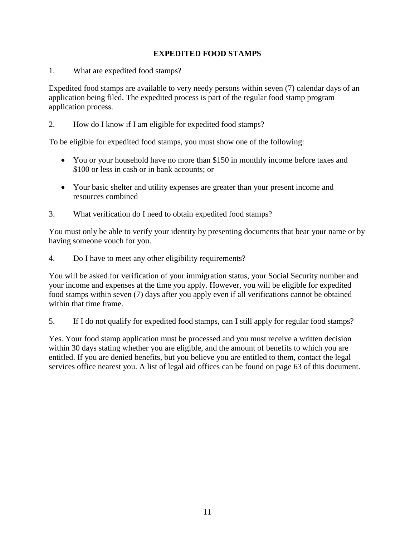# **EXPEDITED FOOD STAMPS**

1. What are expedited food stamps?

Expedited food stamps are available to very needy persons within seven (7) calendar days of an application being filed. The expedited process is part of the regular food stamp program application process.

2. How do I know if I am eligible for expedited food stamps?

To be eligible for expedited food stamps, you must show one of the following:

- You or your household have no more than \$150 in monthly income before taxes and \$100 or less in cash or in bank accounts; or
- Your basic shelter and utility expenses are greater than your present income and resources combined
- 3. What verification do I need to obtain expedited food stamps?

You must only be able to verify your identity by presenting documents that bear your name or by having someone vouch for you.

4. Do I have to meet any other eligibility requirements?

You will be asked for verification of your immigration status, your Social Security number and your income and expenses at the time you apply. However, you will be eligible for expedited food stamps within seven (7) days after you apply even if all verifications cannot be obtained within that time frame.

5. If I do not qualify for expedited food stamps, can I still apply for regular food stamps?

Yes. Your food stamp application must be processed and you must receive a written decision within 30 days stating whether you are eligible, and the amount of benefits to which you are entitled. If you are denied benefits, but you believe you are entitled to them, contact the legal services office nearest you. A list of legal aid offices can be found on page 63 of this document.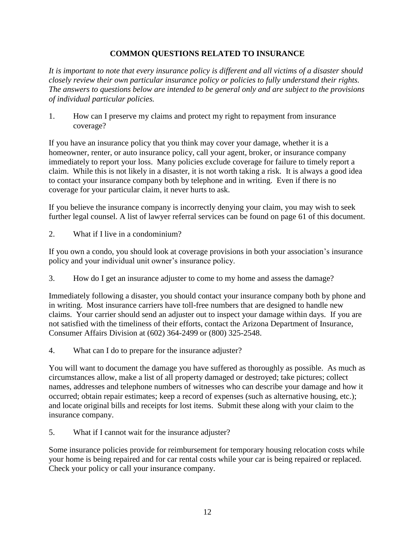# **COMMON QUESTIONS RELATED TO INSURANCE**

*It is important to note that every insurance policy is different and all victims of a disaster should closely review their own particular insurance policy or policies to fully understand their rights. The answers to questions below are intended to be general only and are subject to the provisions of individual particular policies.*

1. How can I preserve my claims and protect my right to repayment from insurance coverage?

If you have an insurance policy that you think may cover your damage, whether it is a homeowner, renter, or auto insurance policy, call your agent, broker, or insurance company immediately to report your loss. Many policies exclude coverage for failure to timely report a claim. While this is not likely in a disaster, it is not worth taking a risk. It is always a good idea to contact your insurance company both by telephone and in writing. Even if there is no coverage for your particular claim, it never hurts to ask.

If you believe the insurance company is incorrectly denying your claim, you may wish to seek further legal counsel. A list of lawyer referral services can be found on page 61 of this document.

2. What if I live in a condominium?

If you own a condo, you should look at coverage provisions in both your association's insurance policy and your individual unit owner's insurance policy.

3. How do I get an insurance adjuster to come to my home and assess the damage?

Immediately following a disaster, you should contact your insurance company both by phone and in writing. Most insurance carriers have toll-free numbers that are designed to handle new claims. Your carrier should send an adjuster out to inspect your damage within days. If you are not satisfied with the timeliness of their efforts, contact the Arizona Department of Insurance, Consumer Affairs Division at (602) 364-2499 or (800) 325-2548.

4. What can I do to prepare for the insurance adjuster?

You will want to document the damage you have suffered as thoroughly as possible. As much as circumstances allow, make a list of all property damaged or destroyed; take pictures; collect names, addresses and telephone numbers of witnesses who can describe your damage and how it occurred; obtain repair estimates; keep a record of expenses (such as alternative housing, etc.); and locate original bills and receipts for lost items. Submit these along with your claim to the insurance company.

5. What if I cannot wait for the insurance adjuster?

Some insurance policies provide for reimbursement for temporary housing relocation costs while your home is being repaired and for car rental costs while your car is being repaired or replaced. Check your policy or call your insurance company.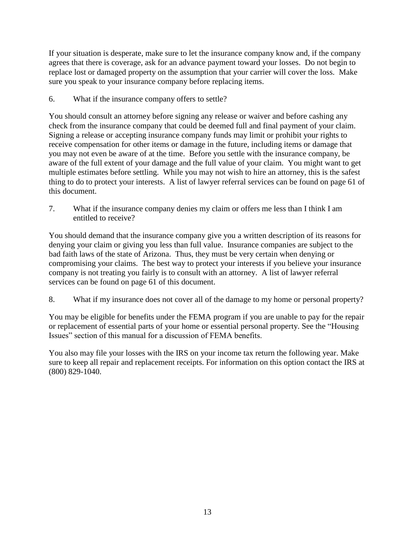If your situation is desperate, make sure to let the insurance company know and, if the company agrees that there is coverage, ask for an advance payment toward your losses. Do not begin to replace lost or damaged property on the assumption that your carrier will cover the loss. Make sure you speak to your insurance company before replacing items.

6. What if the insurance company offers to settle?

You should consult an attorney before signing any release or waiver and before cashing any check from the insurance company that could be deemed full and final payment of your claim. Signing a release or accepting insurance company funds may limit or prohibit your rights to receive compensation for other items or damage in the future, including items or damage that you may not even be aware of at the time. Before you settle with the insurance company, be aware of the full extent of your damage and the full value of your claim. You might want to get multiple estimates before settling. While you may not wish to hire an attorney, this is the safest thing to do to protect your interests. A list of lawyer referral services can be found on page 61 of this document.

7. What if the insurance company denies my claim or offers me less than I think I am entitled to receive?

You should demand that the insurance company give you a written description of its reasons for denying your claim or giving you less than full value. Insurance companies are subject to the bad faith laws of the state of Arizona. Thus, they must be very certain when denying or compromising your claims. The best way to protect your interests if you believe your insurance company is not treating you fairly is to consult with an attorney. A list of lawyer referral services can be found on page 61 of this document.

8. What if my insurance does not cover all of the damage to my home or personal property?

You may be eligible for benefits under the FEMA program if you are unable to pay for the repair or replacement of essential parts of your home or essential personal property. See the "Housing Issues" section of this manual for a discussion of FEMA benefits.

You also may file your losses with the IRS on your income tax return the following year. Make sure to keep all repair and replacement receipts. For information on this option contact the IRS at (800) 829-1040.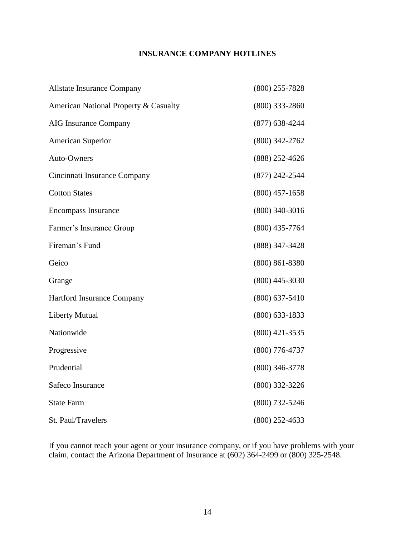# **INSURANCE COMPANY HOTLINES**

| <b>Allstate Insurance Company</b>     | $(800)$ 255-7828   |
|---------------------------------------|--------------------|
| American National Property & Casualty | $(800)$ 333-2860   |
| <b>AIG Insurance Company</b>          | $(877)$ 638-4244   |
| <b>American Superior</b>              | $(800)$ 342-2762   |
| Auto-Owners                           | $(888)$ 252-4626   |
| Cincinnati Insurance Company          | $(877)$ 242-2544   |
| <b>Cotton States</b>                  | $(800)$ 457-1658   |
| <b>Encompass Insurance</b>            | $(800)$ 340-3016   |
| Farmer's Insurance Group              | $(800)$ 435-7764   |
| Fireman's Fund                        | (888) 347-3428     |
| Geico                                 | $(800) 861 - 8380$ |
| Grange                                | $(800)$ 445-3030   |
| Hartford Insurance Company            | $(800)$ 637-5410   |
| <b>Liberty Mutual</b>                 | $(800)$ 633-1833   |
| Nationwide                            | $(800)$ 421-3535   |
| Progressive                           | $(800)$ 776-4737   |
| Prudential                            | $(800)$ 346-3778   |
| Safeco Insurance                      | $(800)$ 332-3226   |
| <b>State Farm</b>                     | $(800)$ 732-5246   |
| St. Paul/Travelers                    | $(800)$ 252-4633   |

If you cannot reach your agent or your insurance company, or if you have problems with your claim, contact the Arizona Department of Insurance at (602) 364-2499 or (800) 325-2548.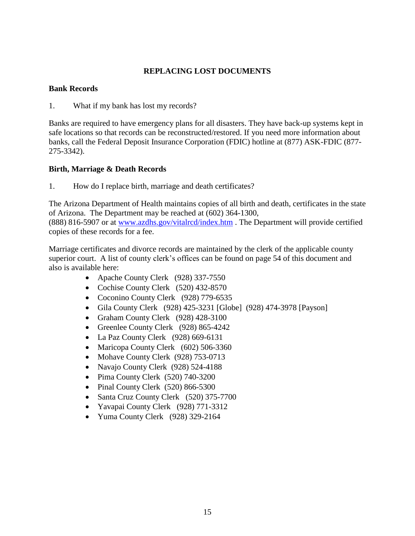# **REPLACING LOST DOCUMENTS**

## **Bank Records**

1. What if my bank has lost my records?

Banks are required to have emergency plans for all disasters. They have back-up systems kept in safe locations so that records can be reconstructed/restored. If you need more information about banks, call the Federal Deposit Insurance Corporation (FDIC) hotline at (877) ASK-FDIC (877- 275-3342).

# **Birth, Marriage & Death Records**

1. How do I replace birth, marriage and death certificates?

The Arizona Department of Health maintains copies of all birth and death, certificates in the state of Arizona. The Department may be reached at (602) 364-1300, (888) 816-5907 or at [www.azdhs.gov/vitalrcd/index.htm](http://www.azdhs.gov/vitalrcd/index.htm) . The Department will provide certified copies of these records for a fee.

Marriage certificates and divorce records are maintained by the clerk of the applicable county superior court. A list of county clerk's offices can be found on page 54 of this document and also is available here:

- Apache County Clerk (928) 337-7550
- Cochise County Clerk (520) 432-8570
- Coconino County Clerk (928) 779-6535
- Gila County Clerk (928) 425-3231 [Globe] (928) 474-3978 [Payson]
- Graham County Clerk (928) 428-3100
- Greenlee County Clerk (928) 865-4242
- La Paz County Clerk (928) 669-6131
- Maricopa County Clerk (602) 506-3360
- Mohave County Clerk (928) 753-0713
- Navajo County Clerk (928) 524-4188
- $\bullet$  Pima County Clerk (520) 740-3200
- Pinal County Clerk (520) 866-5300
- Santa Cruz County Clerk (520) 375-7700
- Yavapai County Clerk (928) 771-3312
- Yuma County Clerk (928) 329-2164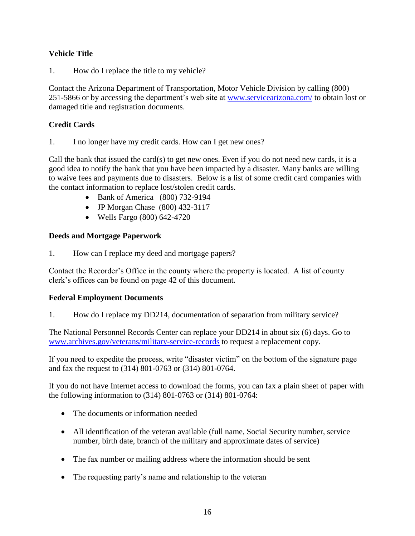# **Vehicle Title**

1. How do I replace the title to my vehicle?

Contact the Arizona Department of Transportation, Motor Vehicle Division by calling (800) 251-5866 or by accessing the department's web site at [www.servicearizona.com/](http://www.servicearizona.com/) to obtain lost or damaged title and registration documents.

# **Credit Cards**

1. I no longer have my credit cards. How can I get new ones?

Call the bank that issued the card(s) to get new ones. Even if you do not need new cards, it is a good idea to notify the bank that you have been impacted by a disaster. Many banks are willing to waive fees and payments due to disasters. Below is a list of some credit card companies with the contact information to replace lost/stolen credit cards.

- Bank of America (800) 732-9194
- JP Morgan Chase (800) 432-3117
- Wells Fargo (800) 642-4720

# **Deeds and Mortgage Paperwork**

1. How can I replace my deed and mortgage papers?

Contact the Recorder's Office in the county where the property is located. A list of county clerk's offices can be found on page 42 of this document.

# **Federal Employment Documents**

1. How do I replace my DD214, documentation of separation from military service?

The National Personnel Records Center can replace your DD214 in about six (6) days. Go to [www.archives.gov/veterans/military-service-records](http://www.archives.gov/veterans/military-service-records) to request a replacement copy.

If you need to expedite the process, write "disaster victim" on the bottom of the signature page and fax the request to (314) 801-0763 or (314) 801-0764.

If you do not have Internet access to download the forms, you can fax a plain sheet of paper with the following information to (314) 801-0763 or (314) 801-0764:

- The documents or information needed
- All identification of the veteran available (full name, Social Security number, service number, birth date, branch of the military and approximate dates of service)
- The fax number or mailing address where the information should be sent
- The requesting party's name and relationship to the veteran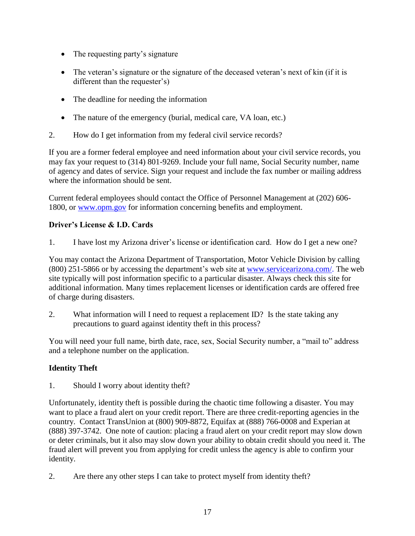- The requesting party's signature
- The veteran's signature or the signature of the deceased veteran's next of kin (if it is different than the requester's)
- The deadline for needing the information
- The nature of the emergency (burial, medical care, VA loan, etc.)
- 2. How do I get information from my federal civil service records?

If you are a former federal employee and need information about your civil service records, you may fax your request to (314) 801-9269. Include your full name, Social Security number, name of agency and dates of service. Sign your request and include the fax number or mailing address where the information should be sent.

Current federal employees should contact the Office of Personnel Management at (202) 606- 1800, or [www.opm.gov](http://www.opm.gov/) for information concerning benefits and employment.

# **Driver's License & I.D. Cards**

1. I have lost my Arizona driver's license or identification card. How do I get a new one?

You may contact the Arizona Department of Transportation, Motor Vehicle Division by calling (800) 251-5866 or by accessing the department's web site at [www.servicearizona.com/.](http://www.servicearizona.com/) The web site typically will post information specific to a particular disaster. Always check this site for additional information. Many times replacement licenses or identification cards are offered free of charge during disasters.

2. What information will I need to request a replacement ID? Is the state taking any precautions to guard against identity theft in this process?

You will need your full name, birth date, race, sex, Social Security number, a "mail to" address and a telephone number on the application.

# **Identity Theft**

1. Should I worry about identity theft?

Unfortunately, identity theft is possible during the chaotic time following a disaster. You may want to place a fraud alert on your credit report. There are three credit-reporting agencies in the country. Contact TransUnion at (800) 909-8872, Equifax at (888) 766-0008 and Experian at (888) 397-3742. One note of caution: placing a fraud alert on your credit report may slow down or deter criminals, but it also may slow down your ability to obtain credit should you need it. The fraud alert will prevent you from applying for credit unless the agency is able to confirm your identity.

2. Are there any other steps I can take to protect myself from identity theft?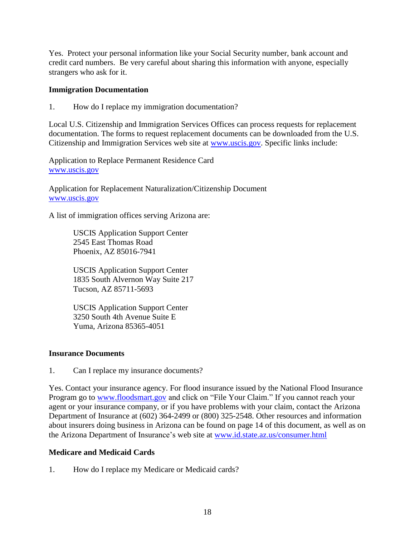Yes. Protect your personal information like your Social Security number, bank account and credit card numbers. Be very careful about sharing this information with anyone, especially strangers who ask for it.

## **Immigration Documentation**

1. How do I replace my immigration documentation?

Local U.S. Citizenship and Immigration Services Offices can process requests for replacement documentation. The forms to request replacement documents can be downloaded from the U.S. Citizenship and Immigration Services web site at [www.uscis.gov.](http://www.uscis.gov/) Specific links include:

Application to Replace Permanent Residence Card [www.uscis.gov](http://www.uscis.gov/)

Application for Replacement Naturalization/Citizenship Document [www.uscis.gov](http://www.uscis.gov/)

A list of immigration offices serving Arizona are:

USCIS Application Support Center 2545 East Thomas Road Phoenix, AZ 85016-7941

USCIS Application Support Center 1835 South Alvernon Way Suite 217 Tucson, AZ 85711-5693

USCIS Application Support Center 3250 South 4th Avenue Suite E Yuma, Arizona 85365-4051

## **Insurance Documents**

1. Can I replace my insurance documents?

Yes. Contact your insurance agency. For flood insurance issued by the National Flood Insurance Program go to [www.floodsmart.gov](http://www.floodsmart.gov/) and click on "File Your Claim." If you cannot reach your agent or your insurance company, or if you have problems with your claim, contact the Arizona Department of Insurance at (602) 364-2499 or (800) 325-2548. Other resources and information about insurers doing business in Arizona can be found on page 14 of this document, as well as on the Arizona Department of Insurance's web site at [www.id.state.az.us/consumer.html](http://www.id.state.az.us/consumer.html)

# **Medicare and Medicaid Cards**

1. How do I replace my Medicare or Medicaid cards?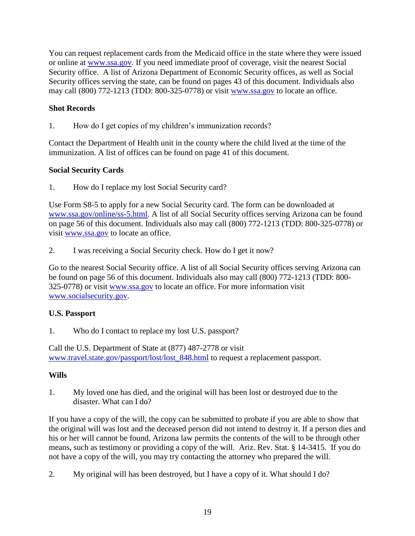You can request replacement cards from the Medicaid office in the state where they were issued or online at [www.ssa.gov.](http://www.ssa.gov/) If you need immediate proof of coverage, visit the nearest Social Security office. A list of Arizona Department of Economic Security offices, as well as Social Security offices serving the state, can be found on pages 43 of this document. Individuals also may call (800) 772-1213 (TDD: 800-325-0778) or visit [www.ssa.gov](http://www.ssa.gov/) to locate an office.

# **Shot Records**

1. How do I get copies of my children's immunization records?

Contact the Department of Health unit in the county where the child lived at the time of the immunization. A list of offices can be found on page 41 of this document.

# **Social Security Cards**

1. How do I replace my lost Social Security card?

Use Form S8-5 to apply for a new Social Security card. The form can be downloaded at [www.ssa.gov/online/ss-5.html.](http://www.ssa.gov/online/ss-5.html) A list of all Social Security offices serving Arizona can be found on page 56 of this document. Individuals also may call (800) 772-1213 (TDD: 800-325-0778) or visit [www.ssa.gov](http://www.ssa.gov/) to locate an office.

2. I was receiving a Social Security check. How do I get it now?

Go to the nearest Social Security office. A list of all Social Security offices serving Arizona can be found on page 56 of this document. Individuals also may call (800) 772-1213 (TDD: 800- 325-0778) or visit [www.ssa.gov](http://www.ssa.gov/) to locate an office. For more information visit [www.socialsecurity.gov.](http://www.socialsecurity.gov/)

# **U.S. Passport**

1. Who do I contact to replace my lost U.S. passport?

Call the U.S. Department of State at (877) 487-2778 or visit [www.travel.state.gov/passport/lost/lost\\_848.html](http://www.travel.state.gov/passport/lost/lost_848.html) to request a replacement passport.

# **Wills**

1. My loved one has died, and the original will has been lost or destroyed due to the disaster. What can I do?

If you have a copy of the will, the copy can be submitted to probate if you are able to show that the original will was lost and the deceased person did not intend to destroy it. If a person dies and his or her will cannot be found, Arizona law permits the contents of the will to be through other means, such as testimony or providing a copy of the will. Ariz. Rev. Stat. § 14-3415. If you do not have a copy of the will, you may try contacting the attorney who prepared the will.

2. My original will has been destroyed, but I have a copy of it. What should I do?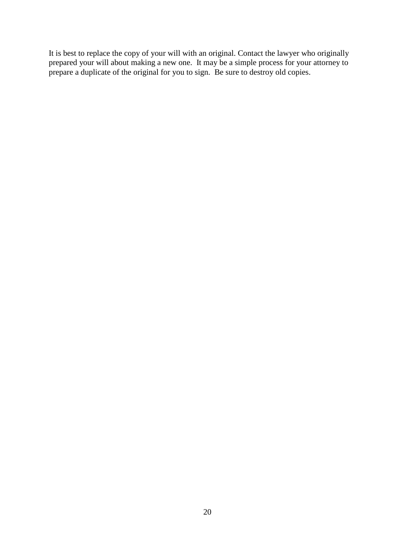It is best to replace the copy of your will with an original. Contact the lawyer who originally prepared your will about making a new one. It may be a simple process for your attorney to prepare a duplicate of the original for you to sign. Be sure to destroy old copies.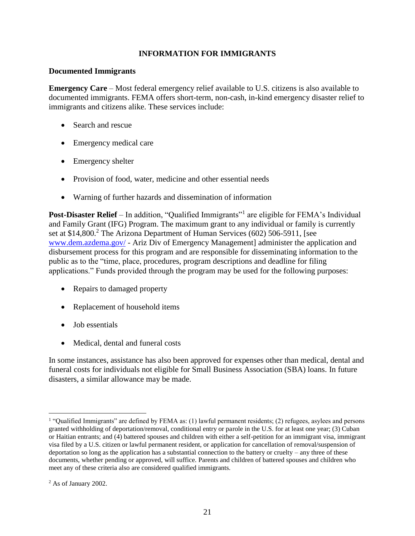# **INFORMATION FOR IMMIGRANTS**

## **Documented Immigrants**

**Emergency Care** – Most federal emergency relief available to U.S. citizens is also available to documented immigrants. FEMA offers short-term, non-cash, in-kind emergency disaster relief to immigrants and citizens alike. These services include:

- Search and rescue
- Emergency medical care
- Emergency shelter
- Provision of food, water, medicine and other essential needs
- Warning of further hazards and dissemination of information

Post-Disaster Relief - In addition, "Qualified Immigrants"<sup>1</sup> are eligible for FEMA's Individual and Family Grant (IFG) Program. The maximum grant to any individual or family is currently set at \$14,800.<sup>2</sup> The Arizona Department of Human Services (602) 506-5911, [see [www.dem.azdema.gov/](http://www.dem.azdema.gov/) - Ariz Div of Emergency Management] administer the application and disbursement process for this program and are responsible for disseminating information to the public as to the "time, place, procedures, program descriptions and deadline for filing applications." Funds provided through the program may be used for the following purposes:

- Repairs to damaged property
- Replacement of household items
- Job essentials
- Medical, dental and funeral costs

In some instances, assistance has also been approved for expenses other than medical, dental and funeral costs for individuals not eligible for Small Business Association (SBA) loans. In future disasters, a similar allowance may be made.

 $\overline{a}$ 

<sup>&</sup>lt;sup>1</sup> "Qualified Immigrants" are defined by FEMA as: (1) lawful permanent residents; (2) refugees, asylees and persons granted withholding of deportation/removal, conditional entry or parole in the U.S. for at least one year; (3) Cuban or Haitian entrants; and (4) battered spouses and children with either a self-petition for an immigrant visa, immigrant visa filed by a U.S. citizen or lawful permanent resident, or application for cancellation of removal/suspension of deportation so long as the application has a substantial connection to the battery or cruelty – any three of these documents, whether pending or approved, will suffice. Parents and children of battered spouses and children who meet any of these criteria also are considered qualified immigrants.

<sup>2</sup> As of January 2002.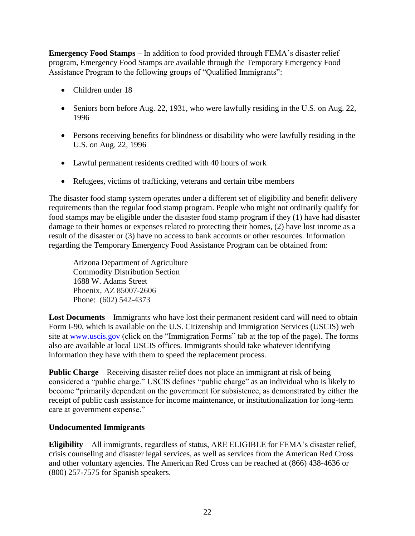**Emergency Food Stamps** – In addition to food provided through FEMA's disaster relief program, Emergency Food Stamps are available through the Temporary Emergency Food Assistance Program to the following groups of "Qualified Immigrants":

- Children under 18
- Seniors born before Aug. 22, 1931, who were lawfully residing in the U.S. on Aug. 22, 1996
- Persons receiving benefits for blindness or disability who were lawfully residing in the U.S. on Aug. 22, 1996
- Lawful permanent residents credited with 40 hours of work
- Refugees, victims of trafficking, veterans and certain tribe members

The disaster food stamp system operates under a different set of eligibility and benefit delivery requirements than the regular food stamp program. People who might not ordinarily qualify for food stamps may be eligible under the disaster food stamp program if they (1) have had disaster damage to their homes or expenses related to protecting their homes, (2) have lost income as a result of the disaster or (3) have no access to bank accounts or other resources. Information regarding the Temporary Emergency Food Assistance Program can be obtained from:

Arizona Department of Agriculture Commodity Distribution Section 1688 W. Adams Street Phoenix, AZ 85007-2606 Phone: (602) 542-4373

**Lost Documents** – Immigrants who have lost their permanent resident card will need to obtain Form I-90, which is available on the U.S. Citizenship and Immigration Services (USCIS) web site at [www.uscis.gov](http://www.uscis.gov/) (click on the "Immigration Forms" tab at the top of the page). The forms also are available at local USCIS offices. Immigrants should take whatever identifying information they have with them to speed the replacement process.

**Public Charge** – Receiving disaster relief does not place an immigrant at risk of being considered a "public charge." USCIS defines "public charge" as an individual who is likely to become "primarily dependent on the government for subsistence, as demonstrated by either the receipt of public cash assistance for income maintenance, or institutionalization for long-term care at government expense."

# **Undocumented Immigrants**

**Eligibility** – All immigrants, regardless of status, ARE ELIGIBLE for FEMA's disaster relief, crisis counseling and disaster legal services, as well as services from the American Red Cross and other voluntary agencies. The American Red Cross can be reached at (866) 438-4636 or (800) 257-7575 for Spanish speakers.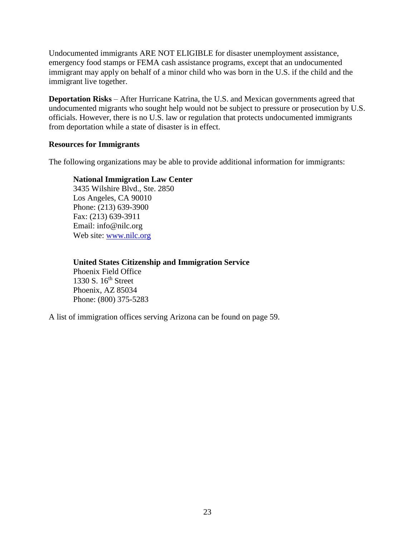Undocumented immigrants ARE NOT ELIGIBLE for disaster unemployment assistance, emergency food stamps or FEMA cash assistance programs, except that an undocumented immigrant may apply on behalf of a minor child who was born in the U.S. if the child and the immigrant live together.

**Deportation Risks** – After Hurricane Katrina, the U.S. and Mexican governments agreed that undocumented migrants who sought help would not be subject to pressure or prosecution by U.S. officials. However, there is no U.S. law or regulation that protects undocumented immigrants from deportation while a state of disaster is in effect.

## **Resources for Immigrants**

The following organizations may be able to provide additional information for immigrants:

## **National Immigration Law Center**

3435 Wilshire Blvd., Ste. 2850 Los Angeles, CA 90010 Phone: (213) 639-3900 Fax: (213) 639-3911 Email: info@nilc.org Web site: [www.nilc.org](http://www.nilc.org/)

## **United States Citizenship and Immigration Service**

Phoenix Field Office 1330 S. 16th Street Phoenix, AZ 85034 Phone: (800) 375-5283

A list of immigration offices serving Arizona can be found on page 59.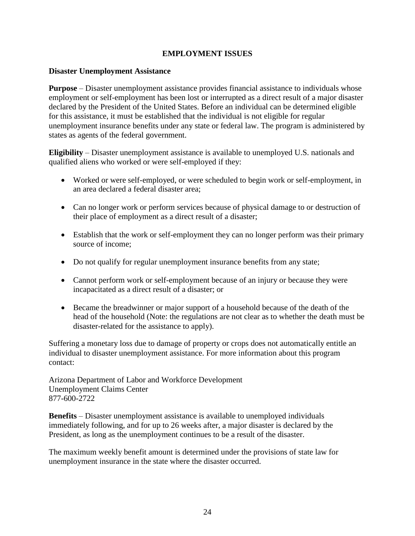# **EMPLOYMENT ISSUES**

## **Disaster Unemployment Assistance**

**Purpose** – Disaster unemployment assistance provides financial assistance to individuals whose employment or self-employment has been lost or interrupted as a direct result of a major disaster declared by the President of the United States. Before an individual can be determined eligible for this assistance, it must be established that the individual is not eligible for regular unemployment insurance benefits under any state or federal law. The program is administered by states as agents of the federal government.

**Eligibility** – Disaster unemployment assistance is available to unemployed U.S. nationals and qualified aliens who worked or were self-employed if they:

- Worked or were self-employed, or were scheduled to begin work or self-employment, in an area declared a federal disaster area;
- Can no longer work or perform services because of physical damage to or destruction of their place of employment as a direct result of a disaster;
- Establish that the work or self-employment they can no longer perform was their primary source of income;
- Do not qualify for regular unemployment insurance benefits from any state;
- Cannot perform work or self-employment because of an injury or because they were incapacitated as a direct result of a disaster; or
- Became the breadwinner or major support of a household because of the death of the head of the household (Note: the regulations are not clear as to whether the death must be disaster-related for the assistance to apply).

Suffering a monetary loss due to damage of property or crops does not automatically entitle an individual to disaster unemployment assistance. For more information about this program contact:

Arizona Department of Labor and Workforce Development Unemployment Claims Center 877-600-2722

**Benefits** – Disaster unemployment assistance is available to unemployed individuals immediately following, and for up to 26 weeks after, a major disaster is declared by the President, as long as the unemployment continues to be a result of the disaster.

The maximum weekly benefit amount is determined under the provisions of state law for unemployment insurance in the state where the disaster occurred.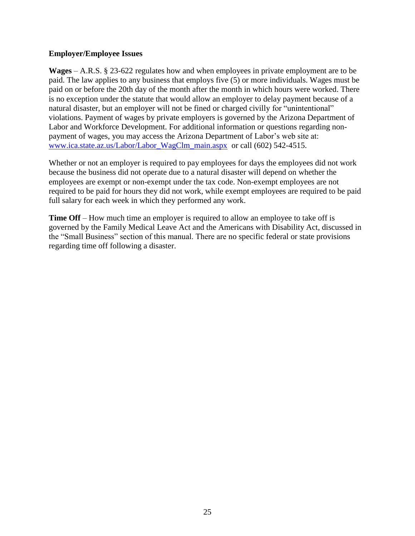## **Employer/Employee Issues**

**Wages** – A.R.S. § 23-622 regulates how and when employees in private employment are to be paid. The law applies to any business that employs five (5) or more individuals. Wages must be paid on or before the 20th day of the month after the month in which hours were worked. There is no exception under the statute that would allow an employer to delay payment because of a natural disaster, but an employer will not be fined or charged civilly for "unintentional" violations. Payment of wages by private employers is governed by the Arizona Department of Labor and Workforce Development. For additional information or questions regarding nonpayment of wages, you may access the Arizona Department of Labor's web site at: [www.ica.state.az.us/Labor/Labor\\_WagClm\\_main.aspx](http://www.ica.state.az.us/Labor/Labor_WagClm_main.aspx)\_or call (602) 542-4515.

Whether or not an employer is required to pay employees for days the employees did not work because the business did not operate due to a natural disaster will depend on whether the employees are exempt or non-exempt under the tax code. Non-exempt employees are not required to be paid for hours they did not work, while exempt employees are required to be paid full salary for each week in which they performed any work.

**Time Off** – How much time an employer is required to allow an employee to take off is governed by the Family Medical Leave Act and the Americans with Disability Act, discussed in the "Small Business" section of this manual. There are no specific federal or state provisions regarding time off following a disaster.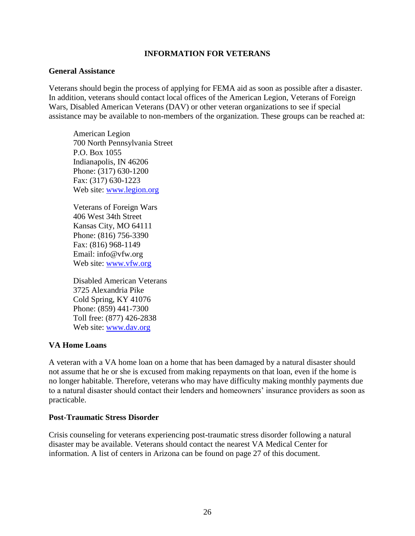## **INFORMATION FOR VETERANS**

#### **General Assistance**

Veterans should begin the process of applying for FEMA aid as soon as possible after a disaster. In addition, veterans should contact local offices of the American Legion, Veterans of Foreign Wars, Disabled American Veterans (DAV) or other veteran organizations to see if special assistance may be available to non-members of the organization. These groups can be reached at:

American Legion 700 North Pennsylvania Street P.O. Box 1055 Indianapolis, IN 46206 Phone: (317) 630-1200 Fax: (317) 630-1223 Web site: [www.legion.org](http://www.legion.org/)

Veterans of Foreign Wars 406 West 34th Street Kansas City, MO 64111 Phone: (816) 756-3390 Fax: (816) 968-1149 Email: info@vfw.org Web site: [www.vfw.org](http://www.vfw.org/)

Disabled American Veterans 3725 Alexandria Pike Cold Spring, KY 41076 Phone: (859) 441-7300 Toll free: (877) 426-2838 Web site: [www.dav.org](http://www.dav.org/)

## **VA Home Loans**

A veteran with a VA home loan on a home that has been damaged by a natural disaster should not assume that he or she is excused from making repayments on that loan, even if the home is no longer habitable. Therefore, veterans who may have difficulty making monthly payments due to a natural disaster should contact their lenders and homeowners' insurance providers as soon as practicable.

#### **Post-Traumatic Stress Disorder**

Crisis counseling for veterans experiencing post-traumatic stress disorder following a natural disaster may be available. Veterans should contact the nearest VA Medical Center for information. A list of centers in Arizona can be found on page 27 of this document.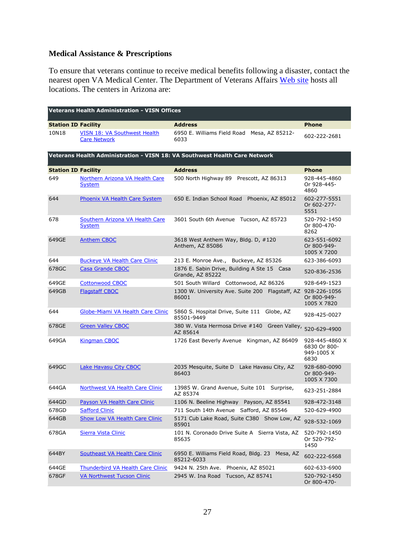# **Medical Assistance & Prescriptions**

To ensure that veterans continue to receive medical benefits following a disaster, contact the nearest open VA Medical Center. The Department of Veterans Affairs [Web site](http://www2.va.gov/directory/guide/division_flsh.asp?dnum=1) hosts all locations. The centers in Arizona are:

| <b>Veterans Health Administration - VISN Offices</b> |                                                            |                                                                            |                                                      |
|------------------------------------------------------|------------------------------------------------------------|----------------------------------------------------------------------------|------------------------------------------------------|
| <b>Station ID Facility</b>                           |                                                            | <b>Address</b>                                                             | <b>Phone</b>                                         |
| 10N18                                                | <b>VISN 18: VA Southwest Health</b><br><b>Care Network</b> | 6950 E. Williams Field Road Mesa, AZ 85212-<br>6033                        | 602-222-2681                                         |
|                                                      |                                                            | Veterans Health Administration - VISN 18: VA Southwest Health Care Network |                                                      |
| <b>Station ID Facility</b>                           |                                                            | <b>Address</b>                                                             | <b>Phone</b>                                         |
| 649                                                  | Northern Arizona VA Health Care<br>System                  | 500 North Highway 89 Prescott, AZ 86313                                    | 928-445-4860<br>Or 928-445-<br>4860                  |
| 644                                                  | Phoenix VA Health Care System                              | 650 E. Indian School Road<br>Phoenix, AZ 85012                             | 602-277-5551<br>Or 602-277-<br>5551                  |
| 678                                                  | <b>Southern Arizona VA Health Care</b><br><b>System</b>    | 3601 South 6th Avenue Tucson, AZ 85723                                     | 520-792-1450<br>Or 800-470-<br>8262                  |
| 649GE                                                | <b>Anthem CBOC</b>                                         | 3618 West Anthem Way, Bldg. D, #120<br>Anthem, AZ 85086                    | 623-551-6092<br>Or 800-949-<br>1005 X 7200           |
| 644                                                  | <b>Buckeye VA Health Care Clinic</b>                       | 213 E. Monroe Ave., Buckeye, AZ 85326                                      | 623-386-6093                                         |
| 678GC                                                | <b>Casa Grande CBOC</b>                                    | 1876 E. Sabin Drive, Building A Ste 15 Casa<br>Grande, AZ 85222            | 520-836-2536                                         |
| 649GE                                                | <b>Cottonwood CBOC</b>                                     | 501 South Willard Cottonwood, AZ 86326                                     | 928-649-1523                                         |
| 649GB                                                | <b>Flagstaff CBOC</b>                                      | 1300 W. University Ave. Suite 200 Flagstaff, AZ 928-226-1056<br>86001      | Or 800-949-<br>1005 X 7820                           |
| 644                                                  | Globe-Miami VA Health Care Clinic                          | 5860 S. Hospital Drive, Suite 111<br>Globe, AZ<br>85501-9449               | 928-425-0027                                         |
| 678GE                                                | <b>Green Valley CBOC</b>                                   | 380 W. Vista Hermosa Drive #140<br>AZ 85614                                | Green Valley, 520-629-4900                           |
| 649GA                                                | <b>Kingman CBOC</b>                                        | 1726 East Beverly Avenue Kingman, AZ 86409                                 | 928-445-4860 X<br>6830 Or 800-<br>949-1005 X<br>6830 |
| 649GC                                                | <b>Lake Havasu City CBOC</b>                               | 2035 Mesquite, Suite D Lake Havasu City, AZ<br>86403                       | 928-680-0090<br>Or 800-949-<br>1005 X 7300           |
| 644GA                                                | <b>Northwest VA Health Care Clinic</b>                     | 13985 W. Grand Avenue, Suite 101 Surprise,<br>AZ 85374                     | 623-251-2884                                         |
| 644GD                                                | <b>Payson VA Health Care Clinic</b>                        | 1106 N. Beeline Highway Payson, AZ 85541                                   | 928-472-3148                                         |
| 678GD                                                | <b>Safford Clinic</b>                                      | 711 South 14th Avenue Safford, AZ 85546                                    | 520-629-4900                                         |
| 644GB                                                | <b>Show Low VA Health Care Clinic</b>                      | 5171 Cub Lake Road, Suite C380 Show Low, AZ<br>85901                       | 928-532-1069                                         |
| 678GA                                                | Sierra Vista Clinic                                        | 101 N. Coronado Drive Suite A Sierra Vista, AZ<br>85635                    | 520-792-1450<br>Or 520-792-<br>1450                  |
| 644BY                                                | <b>Southeast VA Health Care Clinic</b>                     | 6950 E. Williams Field Road, Bldg. 23<br>Mesa, AZ<br>85212-6033            | 602-222-6568                                         |
| 644GE                                                | Thunderbird VA Health Care Clinic                          | Phoenix, AZ 85021<br>9424 N. 25th Ave.                                     | 602-633-6900                                         |
| 678GF                                                | <b>VA Northwest Tucson Clinic</b>                          | 2945 W. Ina Road<br>Tucson, AZ 85741                                       | 520-792-1450<br>Or 800-470-                          |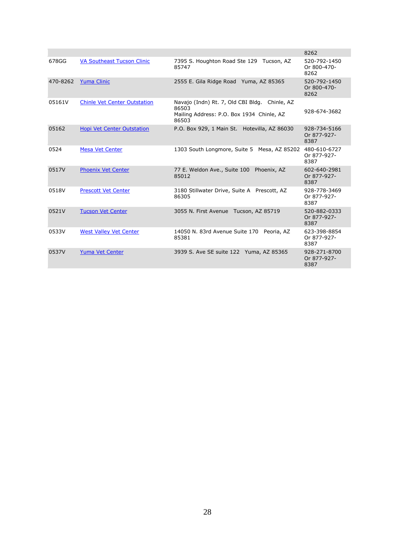|          |                                     |                                                                                                              | 8262                                |
|----------|-------------------------------------|--------------------------------------------------------------------------------------------------------------|-------------------------------------|
| 678GG    | <b>VA Southeast Tucson Clinic</b>   | 7395 S. Houghton Road Ste 129 Tucson, AZ<br>85747                                                            | 520-792-1450<br>Or 800-470-<br>8262 |
| 470-8262 | <b>Yuma Clinic</b>                  | 2555 E. Gila Ridge Road Yuma, AZ 85365                                                                       | 520-792-1450<br>Or 800-470-<br>8262 |
| 05161V   | <b>Chinle Vet Center Outstation</b> | Navajo (Indn) Rt. 7, Old CBI Bldg. Chinle, AZ<br>86503<br>Mailing Address: P.O. Box 1934 Chinle, AZ<br>86503 | 928-674-3682                        |
| 05162    | Hopi Vet Center Outstation          | P.O. Box 929, 1 Main St. Hotevilla, AZ 86030                                                                 | 928-734-5166<br>Or 877-927-<br>8387 |
| 0524     | <b>Mesa Vet Center</b>              | 1303 South Longmore, Suite 5 Mesa, AZ 85202                                                                  | 480-610-6727<br>Or 877-927-<br>8387 |
| 0517V    | <b>Phoenix Vet Center</b>           | 77 E. Weldon Ave., Suite 100 Phoenix, AZ<br>85012                                                            | 602-640-2981<br>Or 877-927-<br>8387 |
| 0518V    | <b>Prescott Vet Center</b>          | 3180 Stillwater Drive, Suite A Prescott, AZ<br>86305                                                         | 928-778-3469<br>Or 877-927-<br>8387 |
| 0521V    | <b>Tucson Vet Center</b>            | 3055 N. First Avenue Tucson, AZ 85719                                                                        | 520-882-0333<br>Or 877-927-<br>8387 |
| 0533V    | <b>West Valley Vet Center</b>       | 14050 N. 83rd Avenue Suite 170 Peoria, AZ<br>85381                                                           | 623-398-8854<br>Or 877-927-<br>8387 |
| 0537V    | <b>Yuma Vet Center</b>              | 3939 S. Ave SE suite 122 Yuma, AZ 85365                                                                      | 928-271-8700<br>Or 877-927-<br>8387 |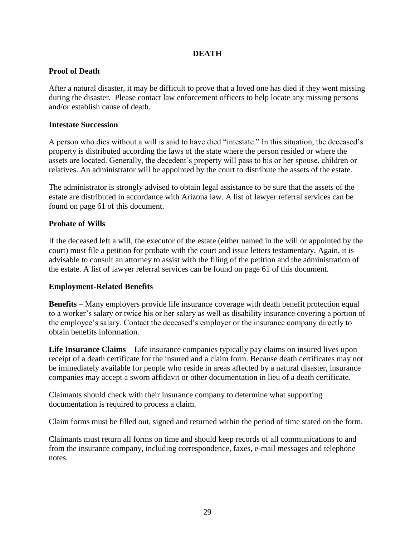## **DEATH**

## **Proof of Death**

After a natural disaster, it may be difficult to prove that a loved one has died if they went missing during the disaster. Please contact law enforcement officers to help locate any missing persons and/or establish cause of death.

## **Intestate Succession**

A person who dies without a will is said to have died "intestate." In this situation, the deceased's property is distributed according the laws of the state where the person resided or where the assets are located. Generally, the decedent's property will pass to his or her spouse, children or relatives. An administrator will be appointed by the court to distribute the assets of the estate.

The administrator is strongly advised to obtain legal assistance to be sure that the assets of the estate are distributed in accordance with Arizona law. A list of lawyer referral services can be found on page 61 of this document.

## **Probate of Wills**

If the deceased left a will, the executor of the estate (either named in the will or appointed by the court) must file a petition for probate with the court and issue letters testamentary. Again, it is advisable to consult an attorney to assist with the filing of the petition and the administration of the estate. A list of lawyer referral services can be found on page 61 of this document.

# **Employment-Related Benefits**

**Benefits** – Many employers provide life insurance coverage with death benefit protection equal to a worker's salary or twice his or her salary as well as disability insurance covering a portion of the employee's salary. Contact the deceased's employer or the insurance company directly to obtain benefits information.

**Life Insurance Claims** – Life insurance companies typically pay claims on insured lives upon receipt of a death certificate for the insured and a claim form. Because death certificates may not be immediately available for people who reside in areas affected by a natural disaster, insurance companies may accept a sworn affidavit or other documentation in lieu of a death certificate.

Claimants should check with their insurance company to determine what supporting documentation is required to process a claim.

Claim forms must be filled out, signed and returned within the period of time stated on the form.

Claimants must return all forms on time and should keep records of all communications to and from the insurance company, including correspondence, faxes, e-mail messages and telephone notes.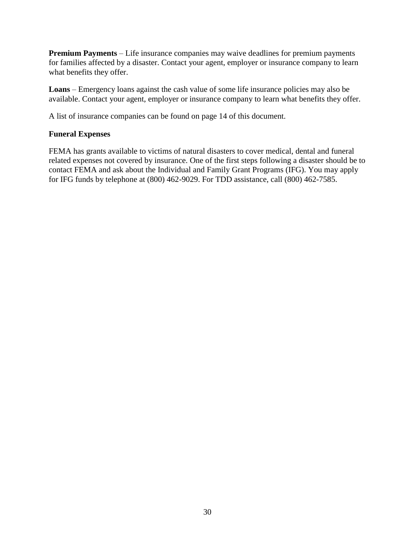**Premium Payments** – Life insurance companies may waive deadlines for premium payments for families affected by a disaster. Contact your agent, employer or insurance company to learn what benefits they offer.

**Loans** – Emergency loans against the cash value of some life insurance policies may also be available. Contact your agent, employer or insurance company to learn what benefits they offer.

A list of insurance companies can be found on page 14 of this document.

# **Funeral Expenses**

FEMA has grants available to victims of natural disasters to cover medical, dental and funeral related expenses not covered by insurance. One of the first steps following a disaster should be to contact FEMA and ask about the Individual and Family Grant Programs (IFG). You may apply for IFG funds by telephone at (800) 462-9029. For TDD assistance, call (800) 462-7585.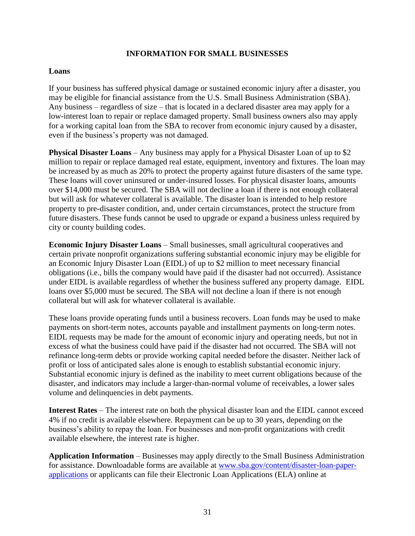## **INFORMATION FOR SMALL BUSINESSES**

## **Loans**

If your business has suffered physical damage or sustained economic injury after a disaster, you may be eligible for financial assistance from the U.S. Small Business Administration (SBA). Any business – regardless of size – that is located in a declared disaster area may apply for a low-interest loan to repair or replace damaged property. Small business owners also may apply for a working capital loan from the SBA to recover from economic injury caused by a disaster, even if the business's property was not damaged.

**Physical Disaster Loans** – Any business may apply for a Physical Disaster Loan of up to \$2 million to repair or replace damaged real estate, equipment, inventory and fixtures. The loan may be increased by as much as 20% to protect the property against future disasters of the same type. These loans will cover uninsured or under-insured losses. For physical disaster loans, amounts over \$14,000 must be secured. The SBA will not decline a loan if there is not enough collateral but will ask for whatever collateral is available. The disaster loan is intended to help restore property to pre-disaster condition, and, under certain circumstances, protect the structure from future disasters. These funds cannot be used to upgrade or expand a business unless required by city or county building codes.

**Economic Injury Disaster Loans** – Small businesses, small agricultural cooperatives and certain private nonprofit organizations suffering substantial economic injury may be eligible for an Economic Injury Disaster Loan (EIDL) of up to \$2 million to meet necessary financial obligations (i.e., bills the company would have paid if the disaster had not occurred). Assistance under EIDL is available regardless of whether the business suffered any property damage. EIDL loans over \$5,000 must be secured. The SBA will not decline a loan if there is not enough collateral but will ask for whatever collateral is available.

These loans provide operating funds until a business recovers. Loan funds may be used to make payments on short-term notes, accounts payable and installment payments on long-term notes. EIDL requests may be made for the amount of economic injury and operating needs, but not in excess of what the business could have paid if the disaster had not occurred. The SBA will not refinance long-term debts or provide working capital needed before the disaster. Neither lack of profit or loss of anticipated sales alone is enough to establish substantial economic injury. Substantial economic injury is defined as the inability to meet current obligations because of the disaster, and indicators may include a larger-than-normal volume of receivables, a lower sales volume and delinquencies in debt payments.

**Interest Rates** – The interest rate on both the physical disaster loan and the EIDL cannot exceed 4% if no credit is available elsewhere. Repayment can be up to 30 years, depending on the business's ability to repay the loan. For businesses and non-profit organizations with credit available elsewhere, the interest rate is higher.

**Application Information** – Businesses may apply directly to the Small Business Administration for assistance. Downloadable forms are available at [www.sba.gov/content/disaster-loan-paper](http://www.sba.gov/content/disaster-loan-paper-applications)[applications](http://www.sba.gov/content/disaster-loan-paper-applications) or applicants can file their Electronic Loan Applications (ELA) online at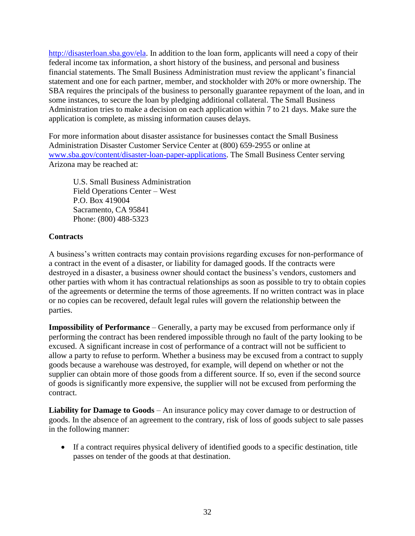[http://disasterloan.sba.gov/ela.](http://disasterloan.sba.gov/ela) In addition to the loan form, applicants will need a copy of their federal income tax information, a short history of the business, and personal and business financial statements. The Small Business Administration must review the applicant's financial statement and one for each partner, member, and stockholder with 20% or more ownership. The SBA requires the principals of the business to personally guarantee repayment of the loan, and in some instances, to secure the loan by pledging additional collateral. The Small Business Administration tries to make a decision on each application within 7 to 21 days. Make sure the application is complete, as missing information causes delays.

For more information about disaster assistance for businesses contact the Small Business Administration Disaster Customer Service Center at (800) 659-2955 or online at [www.sba.gov/content/disaster-loan-paper-applications.](file:///C:/Documents%20and%20Settings/LisaD/Local%20Settings/Temporary%20Internet%20Files/Content.Outlook/AppData/Roaming/LisaD/AppData/Local/Microsoft/Windows/Temporary%20Internet%20Files/Content.Outlook/QJV383WM/www.sba.gov/content/disaster-loan-paper-applications) The Small Business Center serving Arizona may be reached at:

U.S. Small Business Administration Field Operations Center – West P.O. Box 419004 Sacramento, CA 95841 Phone: (800) 488-5323

# **Contracts**

A business's written contracts may contain provisions regarding excuses for non-performance of a contract in the event of a disaster, or liability for damaged goods. If the contracts were destroyed in a disaster, a business owner should contact the business's vendors, customers and other parties with whom it has contractual relationships as soon as possible to try to obtain copies of the agreements or determine the terms of those agreements. If no written contract was in place or no copies can be recovered, default legal rules will govern the relationship between the parties.

**Impossibility of Performance** – Generally, a party may be excused from performance only if performing the contract has been rendered impossible through no fault of the party looking to be excused. A significant increase in cost of performance of a contract will not be sufficient to allow a party to refuse to perform. Whether a business may be excused from a contract to supply goods because a warehouse was destroyed, for example, will depend on whether or not the supplier can obtain more of those goods from a different source. If so, even if the second source of goods is significantly more expensive, the supplier will not be excused from performing the contract.

**Liability for Damage to Goods** – An insurance policy may cover damage to or destruction of goods. In the absence of an agreement to the contrary, risk of loss of goods subject to sale passes in the following manner:

 If a contract requires physical delivery of identified goods to a specific destination, title passes on tender of the goods at that destination.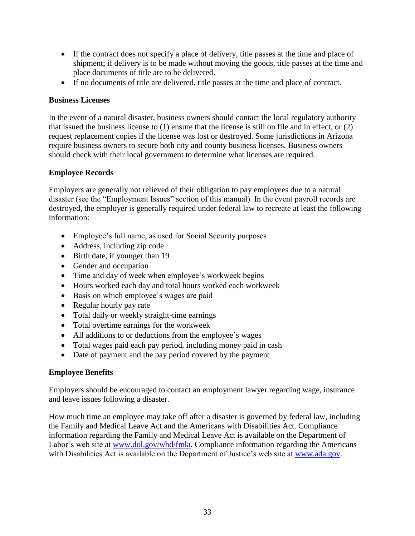- If the contract does not specify a place of delivery, title passes at the time and place of shipment; if delivery is to be made without moving the goods, title passes at the time and place documents of title are to be delivered.
- If no documents of title are delivered, title passes at the time and place of contract.

# **Business Licenses**

In the event of a natural disaster, business owners should contact the local regulatory authority that issued the business license to (1) ensure that the license is still on file and in effect, or (2) request replacement copies if the license was lost or destroyed. Some jurisdictions in Arizona require business owners to secure both city and county business licenses. Business owners should check with their local government to determine what licenses are required.

# **Employee Records**

Employers are generally not relieved of their obligation to pay employees due to a natural disaster (see the "Employment Issues" section of this manual). In the event payroll records are destroyed, the employer is generally required under federal law to recreate at least the following information:

- Employee's full name, as used for Social Security purposes
- Address, including zip code
- Birth date, if younger than 19
- Gender and occupation
- Time and day of week when employee's workweek begins
- Hours worked each day and total hours worked each workweek
- Basis on which employee's wages are paid
- Regular hourly pay rate
- Total daily or weekly straight-time earnings
- Total overtime earnings for the workweek
- All additions to or deductions from the employee's wages
- Total wages paid each pay period, including money paid in cash
- Date of payment and the pay period covered by the payment

# **Employee Benefits**

Employers should be encouraged to contact an employment lawyer regarding wage, insurance and leave issues following a disaster.

How much time an employee may take off after a disaster is governed by federal law, including the Family and Medical Leave Act and the Americans with Disabilities Act. Compliance information regarding the Family and Medical Leave Act is available on the Department of Labor's web site at [www.dol.gov/whd/fmla.](file:///C:/Documents%20and%20Settings/LisaD/Local%20Settings/Temporary%20Internet%20Files/Content.Outlook/AppData/Roaming/LisaD/AppData/Local/Microsoft/Windows/Temporary%20Internet%20Files/Content.Outlook/QJV383WM/www.dol.gov/whd/fmla) Compliance information regarding the Americans with Disabilities Act is available on the Department of Justice's web site at [www.ada.gov.](file:///C:/Documents%20and%20Settings/LisaD/Local%20Settings/Temporary%20Internet%20Files/Content.Outlook/AppData/Roaming/LisaD/AppData/Local/Microsoft/Windows/Temporary%20Internet%20Files/Content.Outlook/QJV383WM/www.ada.gov)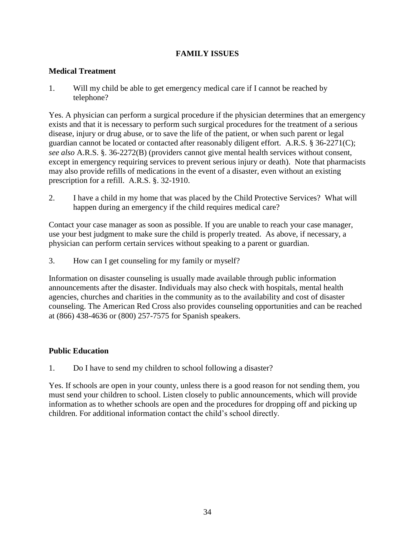# **FAMILY ISSUES**

## **Medical Treatment**

1. Will my child be able to get emergency medical care if I cannot be reached by telephone?

Yes. A physician can perform a surgical procedure if the physician determines that an emergency exists and that it is necessary to perform such surgical procedures for the treatment of a serious disease, injury or drug abuse, or to save the life of the patient, or when such parent or legal guardian cannot be located or contacted after reasonably diligent effort. A.R.S. § 36-2271(C); *see also* A.R.S. §. 36-2272(B) (providers cannot give mental health services without consent, except in emergency requiring services to prevent serious injury or death). Note that pharmacists may also provide refills of medications in the event of a disaster, even without an existing prescription for a refill. A.R.S. §. 32-1910.

2. I have a child in my home that was placed by the Child Protective Services? What will happen during an emergency if the child requires medical care?

Contact your case manager as soon as possible. If you are unable to reach your case manager, use your best judgment to make sure the child is properly treated. As above, if necessary, a physician can perform certain services without speaking to a parent or guardian.

3. How can I get counseling for my family or myself?

Information on disaster counseling is usually made available through public information announcements after the disaster. Individuals may also check with hospitals, mental health agencies, churches and charities in the community as to the availability and cost of disaster counseling. The American Red Cross also provides counseling opportunities and can be reached at (866) 438-4636 or (800) 257-7575 for Spanish speakers.

# **Public Education**

1. Do I have to send my children to school following a disaster?

Yes. If schools are open in your county, unless there is a good reason for not sending them, you must send your children to school. Listen closely to public announcements, which will provide information as to whether schools are open and the procedures for dropping off and picking up children. For additional information contact the child's school directly.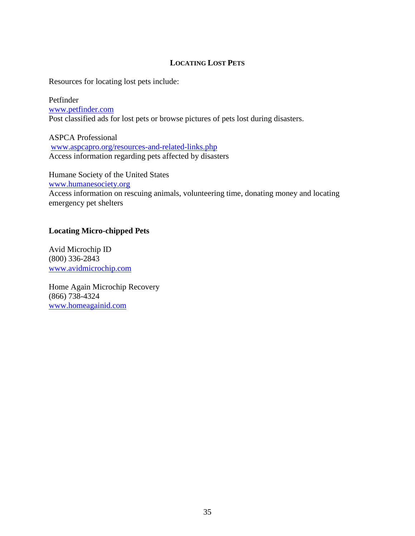## **LOCATING LOST PETS**

Resources for locating lost pets include:

Petfinder [www.petfinder.com](http://www.petfinder.com/) Post classified ads for lost pets or browse pictures of pets lost during disasters.

ASPCA Professional [www.aspcapro.org/resources-and-related-links.php](http://www.aspcapro.org/resources-and-related-links.php) Access information regarding pets affected by disasters

Humane Society of the United States [www.humanesociety.org](http://www.hsus.org/) Access information on rescuing animals, volunteering time, donating money and locating emergency pet shelters

## **Locating Micro-chipped Pets**

Avid Microchip ID (800) 336-2843 [www.avidmicrochip.com](http://www.avidmicrochip.com/)

Home Again Microchip Recovery (866) 738-4324 [www.homeagainid.com](http://www.homeagainid.com/)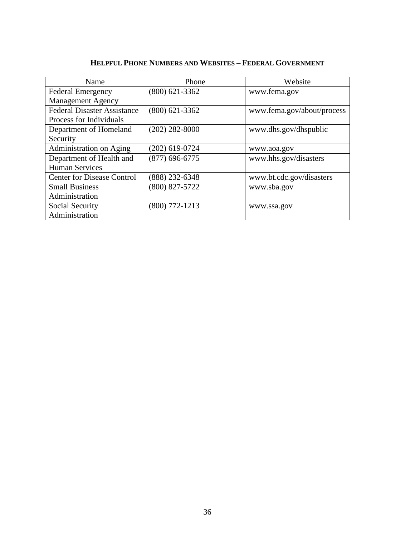| Name                               | Phone            | Website                    |
|------------------------------------|------------------|----------------------------|
|                                    |                  |                            |
| <b>Federal Emergency</b>           | $(800)$ 621-3362 | www.fema.gov               |
| <b>Management Agency</b>           |                  |                            |
| <b>Federal Disaster Assistance</b> | $(800)$ 621-3362 | www.fema.gov/about/process |
| Process for Individuals            |                  |                            |
| Department of Homeland             | $(202)$ 282-8000 | www.dhs.gov/dhspublic      |
| Security                           |                  |                            |
| Administration on Aging            | $(202)$ 619-0724 | www.aoa.gov                |
| Department of Health and           | $(877)$ 696-6775 | www.hhs.gov/disasters      |
| <b>Human Services</b>              |                  |                            |
| <b>Center for Disease Control</b>  | $(888)$ 232-6348 | www.bt.cdc.gov/disasters   |
| <b>Small Business</b>              | $(800)$ 827-5722 | www.sba.gov                |
| Administration                     |                  |                            |
| Social Security                    | $(800)$ 772-1213 | www.ssa.gov                |
| Administration                     |                  |                            |

# **HELPFUL PHONE NUMBERS AND WEBSITES – FEDERAL GOVERNMENT**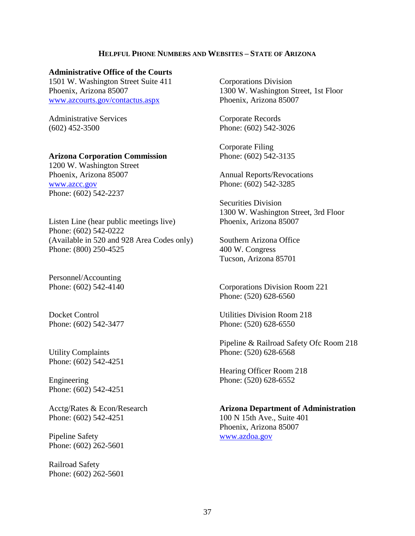### **HELPFUL PHONE NUMBERS AND WEBSITES – STATE OF ARIZONA**

#### **Administrative Office of the Courts**

1501 W. Washington Street Suite 411 Phoenix, Arizona 85007 [www.azcourts.gov/contactus.aspx](http://www.azcourts.gov/contactus.aspx)

Administrative Services (602) 452-3500

#### **Arizona Corporation Commission**

1200 W. Washington Street Phoenix, Arizona 85007 [www.azcc.gov](http://www.azcc.gov/) Phone: (602) 542-2237

Listen Line (hear public meetings live) Phone: (602) 542-0222 (Available in 520 and 928 Area Codes only) Phone: (800) 250-4525

Personnel/Accounting Phone: (602) 542-4140

Docket Control Phone: (602) 542-3477

Utility Complaints Phone: (602) 542-4251

Engineering Phone: (602) 542-4251

Acctg/Rates & Econ/Research Phone: (602) 542-4251

Pipeline Safety Phone: (602) 262-5601

Railroad Safety Phone: (602) 262-5601 Corporations Division 1300 W. Washington Street, 1st Floor Phoenix, Arizona 85007

Corporate Records Phone: (602) 542-3026

Corporate Filing Phone: (602) 542-3135

Annual Reports/Revocations Phone: (602) 542-3285

Securities Division 1300 W. Washington Street, 3rd Floor Phoenix, Arizona 85007

Southern Arizona Office 400 W. Congress Tucson, Arizona 85701

Corporations Division Room 221 Phone: (520) 628-6560

Utilities Division Room 218 Phone: (520) 628-6550

Pipeline & Railroad Safety Ofc Room 218 Phone: (520) 628-6568

Hearing Officer Room 218 Phone: (520) 628-6552

**Arizona Department of Administration** 100 N 15th Ave., Suite 401 Phoenix, Arizona 85007 [www.azdoa.gov](http://www.azdoa.gov/)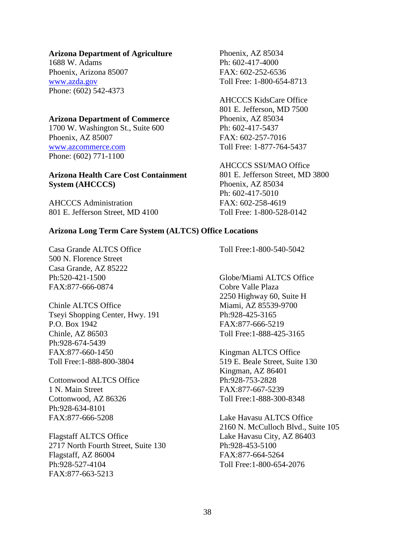#### **Arizona Department of Agriculture**

1688 W. Adams Phoenix, Arizona 85007 [www.azda.gov](http://www.azda.gov/) Phone: (602) 542-4373

#### **Arizona Department of Commerce**

1700 W. Washington St., Suite 600 Phoenix, AZ 85007 [www.azcommerce.com](http://www.azcommerce.com/) Phone: (602) 771-1100

## **Arizona Health Care Cost Containment System (AHCCCS)**

AHCCCS Administration 801 E. Jefferson Street, MD 4100

Phoenix, AZ 85034 Ph: 602-417-4000 FAX: 602-252-6536 Toll Free: 1-800-654-8713

#### AHCCCS KidsCare Office 801 E. Jefferson, MD 7500

Phoenix, AZ 85034 Ph: 602-417-5437 FAX: 602-257-7016 Toll Free: 1-877-764-5437

AHCCCS SSI/MAO Office

801 E. Jefferson Street, MD 3800 Phoenix, AZ 85034 Ph: 602-417-5010 FAX: 602-258-4619 Toll Free: 1-800-528-0142

#### **Arizona Long Term Care System (ALTCS) Office Locations**

Casa Grande ALTCS Office 500 N. Florence Street Casa Grande, AZ 85222 Ph:520-421-1500 FAX:877-666-0874

Chinle ALTCS Office Tseyi Shopping Center, Hwy. 191 P.O. Box 1942 Chinle, AZ 86503 Ph:928-674-5439 FAX:877-660-1450 Toll Free:1-888-800-3804

Cottonwood ALTCS Office 1 N. Main Street Cottonwood, AZ 86326 Ph:928-634-8101 FAX:877-666-5208

Flagstaff ALTCS Office 2717 North Fourth Street, Suite 130 Flagstaff, AZ 86004 Ph:928-527-4104 FAX:877-663-5213

Toll Free:1-800-540-5042

Globe/Miami ALTCS Office Cobre Valle Plaza 2250 Highway 60, Suite H Miami, AZ 85539-9700 Ph:928-425-3165 FAX:877-666-5219 Toll Free:1-888-425-3165

Kingman ALTCS Office 519 E. Beale Street, Suite 130 Kingman, AZ 86401 Ph:928-753-2828 FAX:877-667-5239 Toll Free:1-888-300-8348

Lake Havasu ALTCS Office 2160 N. McCulloch Blvd., Suite 105 Lake Havasu City, AZ 86403 Ph:928-453-5100 FAX:877-664-5264 Toll Free:1-800-654-2076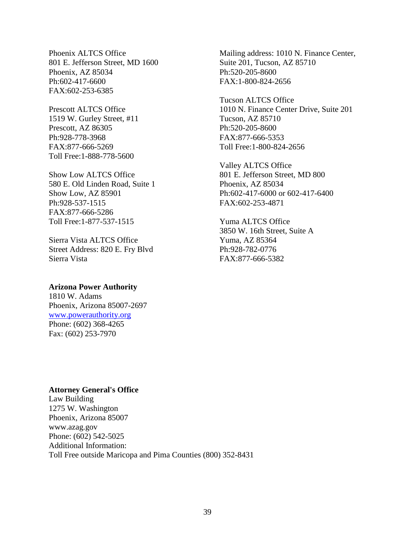Phoenix ALTCS Office 801 E. Jefferson Street, MD 1600 Phoenix, AZ 85034 Ph:602-417-6600 FAX:602-253-6385

Prescott ALTCS Office 1519 W. Gurley Street, #11 Prescott, AZ 86305 Ph:928-778-3968 FAX:877-666-5269 Toll Free:1-888-778-5600

Show Low ALTCS Office 580 E. Old Linden Road, Suite 1 Show Low, AZ 85901 Ph:928-537-1515 FAX:877-666-5286 Toll Free:1-877-537-1515

Sierra Vista ALTCS Office Street Address: 820 E. Fry Blvd Sierra Vista

# **Arizona Power Authority**

1810 W. Adams Phoenix, Arizona 85007-2697 [www.powerauthority.org](http://www.powerauthority.org/) Phone: (602) 368-4265 Fax: (602) 253-7970

#### **Attorney General's Office**

Law Building 1275 W. Washington Phoenix, Arizona 85007 www.azag.gov Phone: (602) 542-5025 Additional Information: Toll Free outside Maricopa and Pima Counties (800) 352-8431

Mailing address: 1010 N. Finance Center, Suite 201, Tucson, AZ 85710 Ph:520-205-8600 FAX:1-800-824-2656

Tucson ALTCS Office 1010 N. Finance Center Drive, Suite 201 Tucson, AZ 85710 Ph:520-205-8600 FAX:877-666-5353 Toll Free:1-800-824-2656

Valley ALTCS Office 801 E. Jefferson Street, MD 800 Phoenix, AZ 85034 Ph:602-417-6000 or 602-417-6400 FAX:602-253-4871

Yuma ALTCS Office 3850 W. 16th Street, Suite A Yuma, AZ 85364 Ph:928-782-0776 FAX:877-666-5382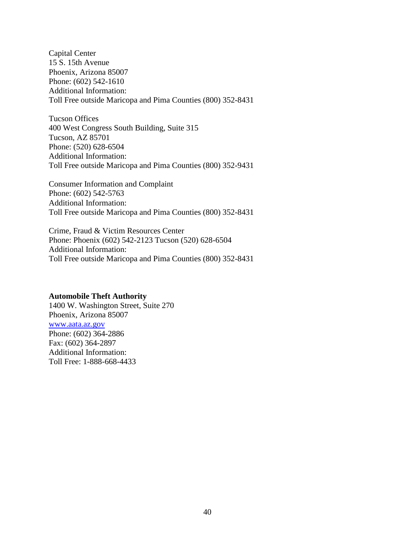Capital Center 15 S. 15th Avenue Phoenix, Arizona 85007 Phone: (602) 542-1610 Additional Information: Toll Free outside Maricopa and Pima Counties (800) 352-8431

Tucson Offices 400 West Congress South Building, Suite 315 Tucson, AZ 85701 Phone: (520) 628-6504 Additional Information: Toll Free outside Maricopa and Pima Counties (800) 352-9431

Consumer Information and Complaint Phone: (602) 542-5763 Additional Information: Toll Free outside Maricopa and Pima Counties (800) 352-8431

Crime, Fraud & Victim Resources Center Phone: Phoenix (602) 542-2123 Tucson (520) 628-6504 Additional Information: Toll Free outside Maricopa and Pima Counties (800) 352-8431

## **Automobile Theft Authority**

1400 W. Washington Street, Suite 270 Phoenix, Arizona 85007 [www.aata.az.gov](http://www.aata.az.gov/) Phone: (602) 364-2886 Fax: (602) 364-2897 Additional Information: Toll Free: 1-888-668-4433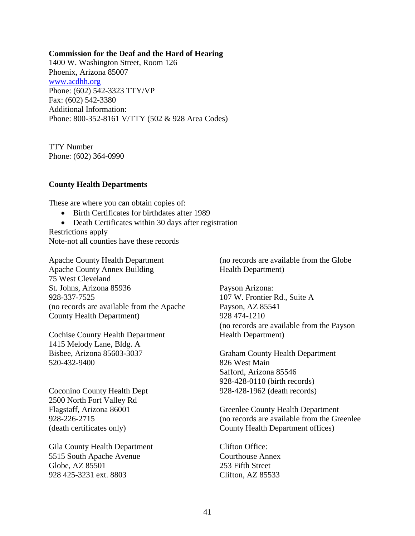#### **Commission for the Deaf and the Hard of Hearing**

1400 W. Washington Street, Room 126 Phoenix, Arizona 85007 [www.acdhh.org](http://www.acdhh.org/) Phone: (602) 542-3323 TTY/VP Fax: (602) 542-3380 Additional Information: Phone: 800-352-8161 V/TTY (502 & 928 Area Codes)

TTY Number Phone: (602) 364-0990

#### **County Health Departments**

These are where you can obtain copies of:

- Birth Certificates for birthdates after 1989
- Death Certificates within 30 days after registration

Restrictions apply Note-not all counties have these records

Apache County Health Department Apache County Annex Building 75 West Cleveland St. Johns, Arizona 85936 928-337-7525 (no records are available from the Apache County Health Department)

Cochise County Health Department 1415 Melody Lane, Bldg. A Bisbee, Arizona 85603-3037 520-432-9400

Coconino County Health Dept 2500 North Fort Valley Rd Flagstaff, Arizona 86001 928-226-2715 (death certificates only)

Gila County Health Department 5515 South Apache Avenue Globe, AZ 85501 928 425-3231 ext. 8803

(no records are available from the Globe Health Department)

Payson Arizona: 107 W. Frontier Rd., Suite A Payson, AZ 85541 928 474-1210 (no records are available from the Payson Health Department)

Graham County Health Department 826 West Main Safford, Arizona 85546 928-428-0110 (birth records) 928-428-1962 (death records)

Greenlee County Health Department (no records are available from the Greenlee County Health Department offices)

Clifton Office: Courthouse Annex 253 Fifth Street Clifton, AZ 85533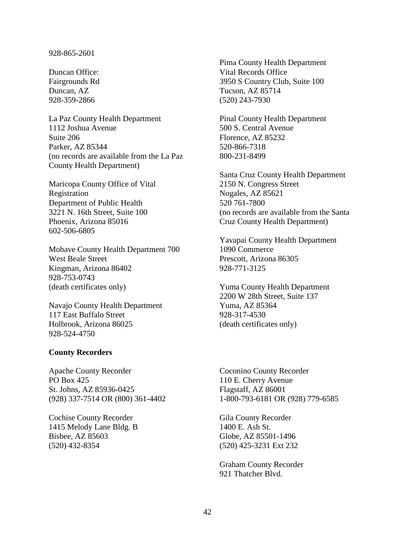#### 928-865-2601

Duncan Office: Fairgrounds Rd Duncan, AZ 928-359-2866

La Paz County Health Department 1112 Joshua Avenue Suite 206 Parker, AZ 85344 (no records are available from the La Paz County Health Department)

Maricopa County Office of Vital Registration Department of Public Health 3221 N. 16th Street, Suite 100 Phoenix, Arizona 85016 602-506-6805

Mohave County Health Department 700 West Beale Street Kingman, Arizona 86402 928-753-0743 (death certificates only)

Navajo County Health Department 117 East Buffalo Street Holbrook, Arizona 86025 928-524-4750

#### **County Recorders**

Apache County Recorder PO Box 425 St. Johns, AZ 85936-0425 (928) 337-7514 OR (800) 361-4402

Cochise County Recorder 1415 Melody Lane Bldg. B Bisbee, AZ 85603 (520) 432-8354

Pima County Health Department Vital Records Office 3950 S Country Club, Suite 100 Tucson, AZ 85714 (520) 243-7930

Pinal County Health Department 500 S. Central Avenue Florence, AZ 85232 520-866-7318 800-231-8499

Santa Cruz County Health Department 2150 N. Congress Street Nogales, AZ 85621 520 761-7800 (no records are available from the Santa Cruz County Health Department)

Yavapai County Health Department 1090 Commerce Prescott, Arizona 86305 928-771-3125

Yuma County Health Department 2200 W 28th Street, Suite 137 Yuma, AZ 85364 928-317-4530 (death certificates only)

Coconino County Recorder 110 E. Cherry Avenue Flagstaff, AZ 86001 1-800-793-6181 OR (928) 779-6585

Gila County Recorder 1400 E. Ash St. Globe, AZ 85501-1496 (520) 425-3231 Ext 232

Graham County Recorder 921 Thatcher Blvd.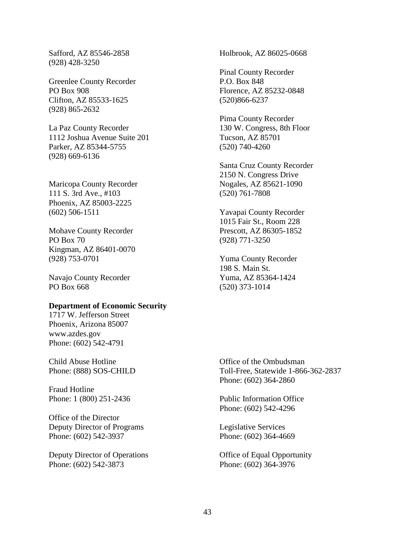Safford, AZ 85546-2858 (928) 428-3250

Greenlee County Recorder PO Box 908 Clifton, AZ 85533-1625 (928) 865-2632

La Paz County Recorder 1112 Joshua Avenue Suite 201 Parker, AZ 85344-5755 (928) 669-6136

Maricopa County Recorder 111 S. 3rd Ave., #103 Phoenix, AZ 85003-2225 (602) 506-1511

Mohave County Recorder PO Box 70 Kingman, AZ 86401-0070 (928) 753-0701

Navajo County Recorder PO Box 668

#### **Department of Economic Security**

1717 W. Jefferson Street Phoenix, Arizona 85007 www.azdes.gov Phone: (602) 542-4791

Child Abuse Hotline Phone: (888) SOS-CHILD

Fraud Hotline Phone: 1 (800) 251-2436

Office of the Director Deputy Director of Programs Phone: (602) 542-3937

Deputy Director of Operations Phone: (602) 542-3873

Holbrook, AZ 86025-0668

Pinal County Recorder P.O. Box 848 Florence, AZ 85232-0848 (520)866-6237

Pima County Recorder 130 W. Congress, 8th Floor Tucson, AZ 85701 (520) 740-4260

Santa Cruz County Recorder 2150 N. Congress Drive Nogales, AZ 85621-1090 (520) 761-7808

Yavapai County Recorder 1015 Fair St., Room 228 Prescott, AZ 86305-1852 (928) 771-3250

Yuma County Recorder 198 S. Main St. Yuma, AZ 85364-1424 (520) 373-1014

Office of the Ombudsman Toll-Free, Statewide 1-866-362-2837 Phone: (602) 364-2860

Public Information Office Phone: (602) 542-4296

Legislative Services Phone: (602) 364-4669

Office of Equal Opportunity Phone: (602) 364-3976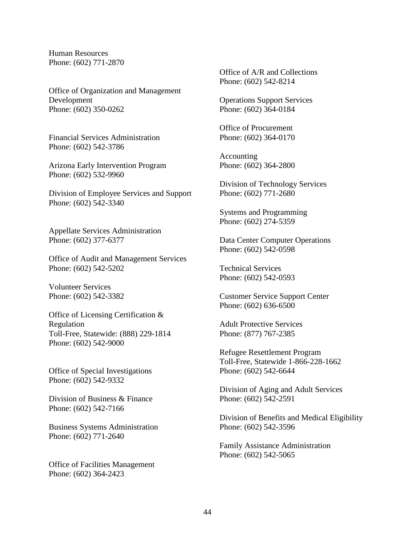Human Resources Phone: (602) 771-2870

Office of Organization and Management Development Phone: (602) 350-0262

Financial Services Administration Phone: (602) 542-3786

Arizona Early Intervention Program Phone: (602) 532-9960

Division of Employee Services and Support Phone: (602) 542-3340

Appellate Services Administration Phone: (602) 377-6377

Office of Audit and Management Services Phone: (602) 542-5202

Volunteer Services Phone: (602) 542-3382

Office of Licensing Certification & Regulation Toll-Free, Statewide: (888) 229-1814 Phone: (602) 542-9000

Office of Special Investigations Phone: (602) 542-9332

Division of Business & Finance Phone: (602) 542-7166

Business Systems Administration Phone: (602) 771-2640

Office of Facilities Management Phone: (602) 364-2423

Office of A/R and Collections Phone: (602) 542-8214

Operations Support Services Phone: (602) 364-0184

Office of Procurement Phone: (602) 364-0170

Accounting Phone: (602) 364-2800

Division of Technology Services Phone: (602) 771-2680

Systems and Programming Phone: (602) 274-5359

Data Center Computer Operations Phone: (602) 542-0598

Technical Services Phone: (602) 542-0593

Customer Service Support Center Phone: (602) 636-6500

Adult Protective Services Phone: (877) 767-2385

Refugee Resettlement Program Toll-Free, Statewide 1-866-228-1662 Phone: (602) 542-6644

Division of Aging and Adult Services Phone: (602) 542-2591

Division of Benefits and Medical Eligibility Phone: (602) 542-3596

Family Assistance Administration Phone: (602) 542-5065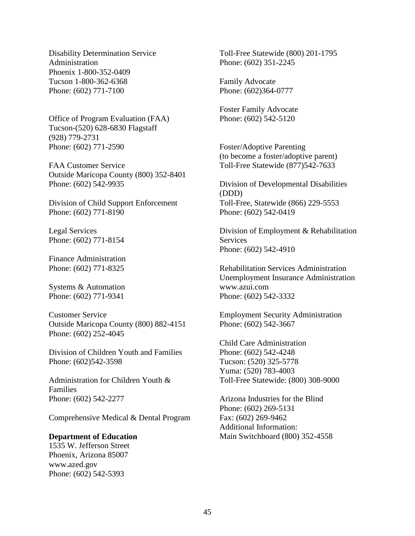Disability Determination Service Administration Phoenix 1-800-352-0409 Tucson 1-800-362-6368 Phone: (602) 771-7100

Office of Program Evaluation (FAA) Tucson-(520) 628-6830 Flagstaff (928) 779-2731 Phone: (602) 771-2590

FAA Customer Service Outside Maricopa County (800) 352-8401 Phone: (602) 542-9935

Division of Child Support Enforcement Phone: (602) 771-8190

Legal Services Phone: (602) 771-8154

Finance Administration Phone: (602) 771-8325

Systems & Automation Phone: (602) 771-9341

Customer Service Outside Maricopa County (800) 882-4151 Phone: (602) 252-4045

Division of Children Youth and Families Phone: (602)542-3598

Administration for Children Youth & Families Phone: (602) 542-2277

Comprehensive Medical & Dental Program

#### **Department of Education**

1535 W. Jefferson Street Phoenix, Arizona 85007 www.azed.gov Phone: (602) 542-5393

Toll-Free Statewide (800) 201-1795 Phone: (602) 351-2245

Family Advocate Phone: (602)364-0777

Foster Family Advocate Phone: (602) 542-5120

Foster/Adoptive Parenting (to become a foster/adoptive parent) Toll-Free Statewide (877)542-7633

Division of Developmental Disabilities (DDD) Toll-Free, Statewide (866) 229-5553 Phone: (602) 542-0419

Division of Employment & Rehabilitation **Services** Phone: (602) 542-4910

Rehabilitation Services Administration Unemployment Insurance Administration www.azui.com Phone: (602) 542-3332

Employment Security Administration Phone: (602) 542-3667

Child Care Administration Phone: (602) 542-4248 Tucson: (520) 325-5778 Yuma: (520) 783-4003 Toll-Free Statewide: (800) 308-9000

Arizona Industries for the Blind Phone: (602) 269-5131 Fax: (602) 269-9462 Additional Information: Main Switchboard (800) 352-4558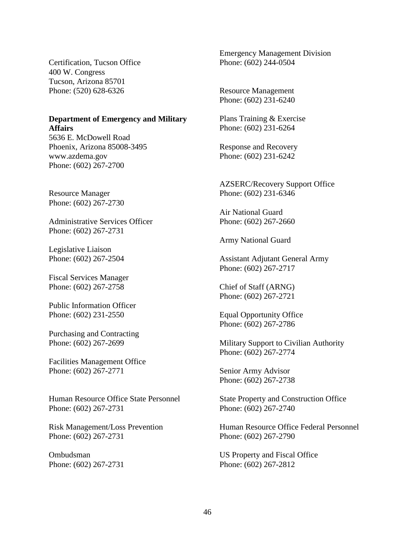Certification, Tucson Office 400 W. Congress Tucson, Arizona 85701 Phone: (520) 628-6326

#### **Department of Emergency and Military Affairs**

5636 E. McDowell Road Phoenix, Arizona 85008-3495 www.azdema.gov Phone: (602) 267-2700

Resource Manager Phone: (602) 267-2730

Administrative Services Officer Phone: (602) 267-2731

Legislative Liaison Phone: (602) 267-2504

Fiscal Services Manager Phone: (602) 267-2758

Public Information Officer Phone: (602) 231-2550

Purchasing and Contracting Phone: (602) 267-2699

Facilities Management Office Phone: (602) 267-2771

Human Resource Office State Personnel Phone: (602) 267-2731

Risk Management/Loss Prevention Phone: (602) 267-2731

Ombudsman Phone: (602) 267-2731 Emergency Management Division Phone: (602) 244-0504

Resource Management Phone: (602) 231-6240

Plans Training & Exercise Phone: (602) 231-6264

Response and Recovery Phone: (602) 231-6242

AZSERC/Recovery Support Office Phone: (602) 231-6346

Air National Guard Phone: (602) 267-2660

Army National Guard

Assistant Adjutant General Army Phone: (602) 267-2717

Chief of Staff (ARNG) Phone: (602) 267-2721

Equal Opportunity Office Phone: (602) 267-2786

Military Support to Civilian Authority Phone: (602) 267-2774

Senior Army Advisor Phone: (602) 267-2738

State Property and Construction Office Phone: (602) 267-2740

Human Resource Office Federal Personnel Phone: (602) 267-2790

US Property and Fiscal Office Phone: (602) 267-2812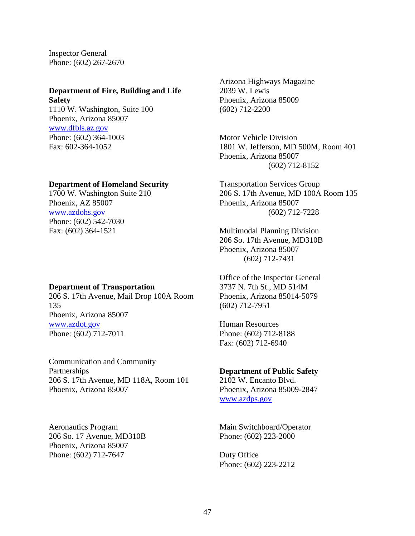Inspector General Phone: (602) 267-2670

#### **Department of Fire, Building and Life Safety**

1110 W. Washington, Suite 100 Phoenix, Arizona 85007 [www.dfbls.az.gov](http://www.dfbls.az.gov/) Phone: (602) 364-1003 Fax: 602-364-1052

### **Department of Homeland Security**

1700 W. Washington Suite 210 Phoenix, AZ 85007 [www.azdohs.gov](http://www.azdohs.gov/) Phone: (602) 542-7030 Fax: (602) 364-1521

#### **Department of Transportation**

206 S. 17th Avenue, Mail Drop 100A Room 135 Phoenix, Arizona 85007 [www.azdot.gov](http://www.azdot.gov/) Phone: (602) 712-7011

Communication and Community Partnerships 206 S. 17th Avenue, MD 118A, Room 101 Phoenix, Arizona 85007

Aeronautics Program 206 So. 17 Avenue, MD310B Phoenix, Arizona 85007 Phone: (602) 712-7647

Arizona Highways Magazine 2039 W. Lewis Phoenix, Arizona 85009 (602) 712-2200

Motor Vehicle Division 1801 W. Jefferson, MD 500M, Room 401 Phoenix, Arizona 85007 (602) 712-8152

Transportation Services Group 206 S. 17th Avenue, MD 100A Room 135 Phoenix, Arizona 85007 (602) 712-7228

Multimodal Planning Division 206 So. 17th Avenue, MD310B Phoenix, Arizona 85007 (602) 712-7431

Office of the Inspector General 3737 N. 7th St., MD 514M Phoenix, Arizona 85014-5079 (602) 712-7951

Human Resources Phone: (602) 712-8188 Fax: (602) 712-6940

#### **Department of Public Safety**

2102 W. Encanto Blvd. Phoenix, Arizona 85009-2847 [www.azdps.gov](http://www.azdps.gov/)

Main Switchboard/Operator Phone: (602) 223-2000

Duty Office Phone: (602) 223-2212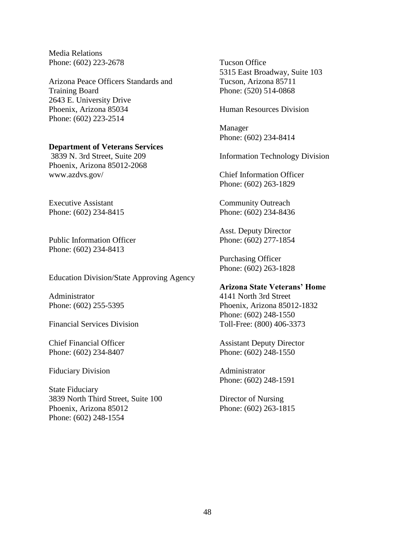Media Relations Phone: (602) 223-2678

Arizona Peace Officers Standards and Training Board 2643 E. University Drive Phoenix, Arizona 85034 Phone: (602) 223-2514

#### **Department of Veterans Services**

3839 N. 3rd Street, Suite 209 Phoenix, Arizona 85012-2068 www.azdvs.gov/

Executive Assistant Phone: (602) 234-8415

Public Information Officer Phone: (602) 234-8413

Education Division/State Approving Agency

Administrator Phone: (602) 255-5395

Financial Services Division

Chief Financial Officer Phone: (602) 234-8407

Fiduciary Division

State Fiduciary 3839 North Third Street, Suite 100 Phoenix, Arizona 85012 Phone: (602) 248-1554

Tucson Office 5315 East Broadway, Suite 103 Tucson, Arizona 85711 Phone: (520) 514-0868

Human Resources Division

Manager Phone: (602) 234-8414

Information Technology Division

Chief Information Officer Phone: (602) 263-1829

Community Outreach Phone: (602) 234-8436

Asst. Deputy Director Phone: (602) 277-1854

Purchasing Officer Phone: (602) 263-1828

#### **Arizona State Veterans' Home**

4141 North 3rd Street Phoenix, Arizona 85012-1832 Phone: (602) 248-1550 Toll-Free: (800) 406-3373

Assistant Deputy Director Phone: (602) 248-1550

Administrator Phone: (602) 248-1591

Director of Nursing Phone: (602) 263-1815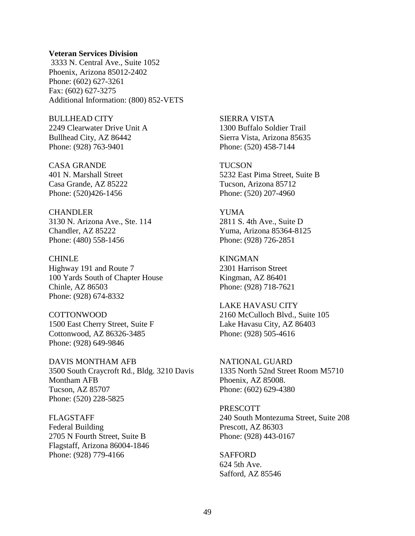#### **Veteran Services Division**

3333 N. Central Ave., Suite 1052 Phoenix, Arizona 85012-2402 Phone: (602) 627-3261 Fax: (602) 627-3275 Additional Information: (800) 852-VETS

BULLHEAD CITY 2249 Clearwater Drive Unit A Bullhead City, AZ 86442 Phone: (928) 763-9401

CASA GRANDE 401 N. Marshall Street Casa Grande, AZ 85222 Phone: (520)426-1456

**CHANDLER** 3130 N. Arizona Ave., Ste. 114 Chandler, AZ 85222 Phone: (480) 558-1456

CHINLE Highway 191 and Route 7 100 Yards South of Chapter House Chinle, AZ 86503 Phone: (928) 674-8332

COTTONWOOD 1500 East Cherry Street, Suite F Cottonwood, AZ 86326-3485 Phone: (928) 649-9846

DAVIS MONTHAM AFB 3500 South Craycroft Rd., Bldg. 3210 Davis Montham AFB Tucson, AZ 85707 Phone: (520) 228-5825

FLAGSTAFF Federal Building 2705 N Fourth Street, Suite B Flagstaff, Arizona 86004-1846 Phone: (928) 779-4166

SIERRA VISTA 1300 Buffalo Soldier Trail Sierra Vista, Arizona 85635 Phone: (520) 458-7144

**TUCSON** 5232 East Pima Street, Suite B Tucson, Arizona 85712 Phone: (520) 207-4960

YUMA 2811 S. 4th Ave., Suite D Yuma, Arizona 85364-8125 Phone: (928) 726-2851

KINGMAN 2301 Harrison Street Kingman, AZ 86401 Phone: (928) 718-7621

LAKE HAVASU CITY 2160 McCulloch Blvd., Suite 105 Lake Havasu City, AZ 86403 Phone: (928) 505-4616

NATIONAL GUARD 1335 North 52nd Street Room M5710 Phoenix, AZ 85008. Phone: (602) 629-4380

PRESCOTT 240 South Montezuma Street, Suite 208 Prescott, AZ 86303 Phone: (928) 443-0167

SAFFORD 624 5th Ave. Safford, AZ 85546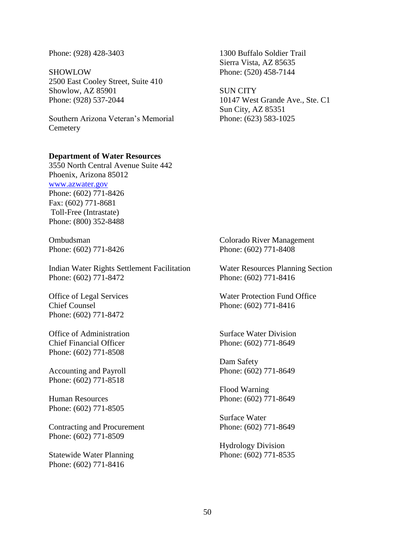#### Phone: (928) 428-3403

SHOWLOW 2500 East Cooley Street, Suite 410 Showlow, AZ 85901 Phone: (928) 537-2044

Southern Arizona Veteran's Memorial **Cemetery** 

#### **Department of Water Resources**

3550 North Central Avenue Suite 442 Phoenix, Arizona 85012 [www.azwater.gov](http://www.azwater.gov/) Phone: (602) 771-8426 Fax: (602) 771-8681 Toll-Free (Intrastate) Phone: (800) 352-8488

Ombudsman Phone: (602) 771-8426

Indian Water Rights Settlement Facilitation Phone: (602) 771-8472

Office of Legal Services Chief Counsel Phone: (602) 771-8472

Office of Administration Chief Financial Officer Phone: (602) 771-8508

Accounting and Payroll Phone: (602) 771-8518

Human Resources Phone: (602) 771-8505

Contracting and Procurement Phone: (602) 771-8509

Statewide Water Planning Phone: (602) 771-8416

1300 Buffalo Soldier Trail Sierra Vista, AZ 85635 Phone: (520) 458-7144

SUN CITY 10147 West Grande Ave., Ste. C1 Sun City, AZ 85351 Phone: (623) 583-1025

Colorado River Management Phone: (602) 771-8408

Water Resources Planning Section Phone: (602) 771-8416

Water Protection Fund Office Phone: (602) 771-8416

Surface Water Division Phone: (602) 771-8649

Dam Safety Phone: (602) 771-8649

Flood Warning Phone: (602) 771-8649

Surface Water Phone: (602) 771-8649

Hydrology Division Phone: (602) 771-8535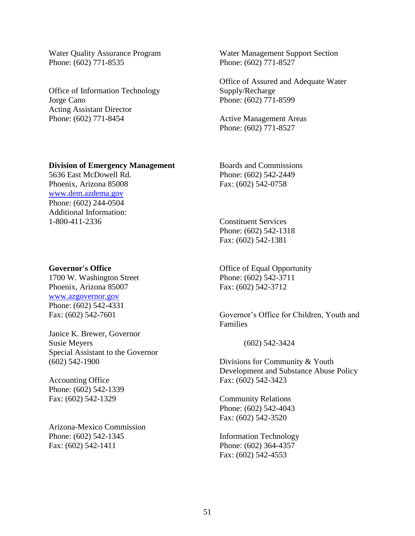Water Quality Assurance Program Phone: (602) 771-8535

Office of Information Technology Jorge Cano Acting Assistant Director Phone: (602) 771-8454

Water Management Support Section Phone: (602) 771-8527

Office of Assured and Adequate Water Supply/Recharge Phone: (602) 771-8599

Active Management Areas Phone: (602) 771-8527

#### **Division of Emergency Management**

5636 East McDowell Rd. Phoenix, Arizona 85008 [www.dem.azdema.gov](http://www.dem.azdema.gov/) Phone: (602) 244-0504 Additional Information: 1-800-411-2336

#### **Governor's Office**

1700 W. Washington Street Phoenix, Arizona 85007 [www.azgovernor.gov](http://www.azgovernor.gov/)  Phone: (602) 542-4331 Fax: (602) 542-7601

Janice K. Brewer, Governor Susie Meyers Special Assistant to the Governor (602) 542-1900

Accounting Office Phone: (602) 542-1339 Fax: (602) 542-1329

Arizona-Mexico Commission Phone: (602) 542-1345 Fax: (602) 542-1411

Boards and Commissions Phone: (602) 542-2449 Fax: (602) 542-0758

Constituent Services Phone: (602) 542-1318 Fax: (602) 542-1381

Office of Equal Opportunity Phone: (602) 542-3711 Fax: (602) 542-3712

Governor's Office for Children, Youth and Families

(602) 542-3424

Divisions for Community & Youth Development and Substance Abuse Policy Fax: (602) 542-3423

Community Relations Phone: (602) 542-4043 Fax: (602) 542-3520

Information Technology Phone: (602) 364-4357 Fax: (602) 542-4553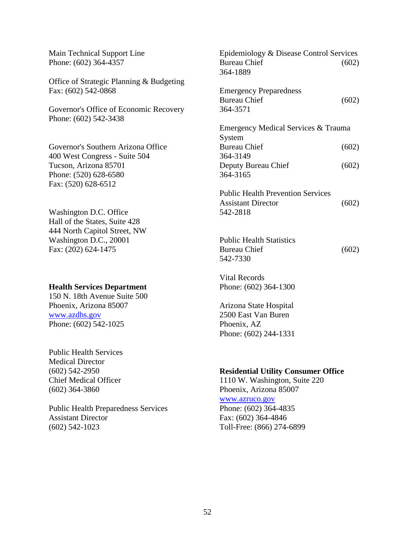| Main Technical Support Line<br>Phone: (602) 364-4357            | Epidemiology & Disease Control Services<br><b>Bureau Chief</b><br>364-1889 | (602) |
|-----------------------------------------------------------------|----------------------------------------------------------------------------|-------|
| Office of Strategic Planning & Budgeting                        |                                                                            |       |
| Fax: (602) 542-0868                                             | <b>Emergency Preparedness</b>                                              |       |
|                                                                 | <b>Bureau Chief</b>                                                        | (602) |
| Governor's Office of Economic Recovery<br>Phone: (602) 542-3438 | 364-3571                                                                   |       |
|                                                                 | Emergency Medical Services & Trauma                                        |       |
|                                                                 | System                                                                     |       |
| Governor's Southern Arizona Office                              | <b>Bureau Chief</b>                                                        | (602) |
| 400 West Congress - Suite 504                                   | 364-3149                                                                   |       |
| Tucson, Arizona 85701                                           | Deputy Bureau Chief                                                        | (602) |
| Phone: (520) 628-6580                                           | 364-3165                                                                   |       |
| Fax: (520) 628-6512                                             |                                                                            |       |
|                                                                 | <b>Public Health Prevention Services</b>                                   |       |
|                                                                 | <b>Assistant Director</b>                                                  | (602) |
| Washington D.C. Office                                          | 542-2818                                                                   |       |
| Hall of the States, Suite 428                                   |                                                                            |       |
| 444 North Capitol Street, NW                                    |                                                                            |       |
| Washington D.C., 20001                                          | <b>Public Health Statistics</b>                                            |       |
| Fax: (202) 624-1475                                             | <b>Bureau Chief</b>                                                        | (602) |
|                                                                 | 542-7330                                                                   |       |
|                                                                 | <b>Vital Records</b>                                                       |       |
| <b>Health Services Department</b>                               | Phone: (602) 364-1300                                                      |       |
| 150 N. 18th Avenue Suite 500                                    |                                                                            |       |
| Phoenix, Arizona 85007                                          | Arizona State Hospital                                                     |       |
| www.azdhs.gov                                                   | 2500 East Van Buren                                                        |       |
| Phone: (602) 542-1025                                           | Phoenix, AZ                                                                |       |
|                                                                 | Phone: (602) 244-1331                                                      |       |
| <b>Public Health Services</b>                                   |                                                                            |       |
| <b>Medical Director</b>                                         |                                                                            |       |

(602) 542-2950 Chief Medical Officer (602) 364-3860

Public Health Preparedness Services Assistant Director (602) 542-1023

**Residential Utility Consumer Office**

1110 W. Washington, Suite 220 Phoenix, Arizona 85007 [www.azruco.gov](http://www.azruco.gov/) Phone: (602) 364-4835 Fax: (602) 364-4846 Toll-Free: (866) 274-6899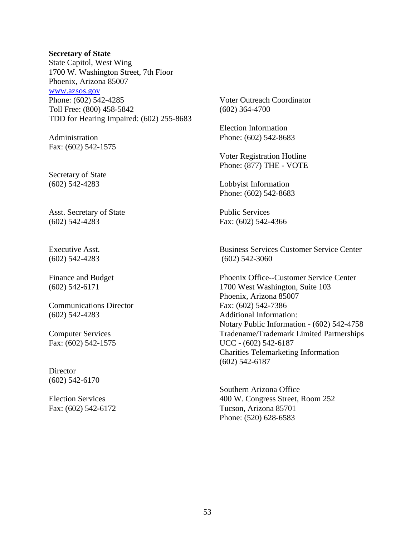#### **Secretary of State**

State Capitol, West Wing 1700 W. Washington Street, 7th Floor Phoenix, Arizona 85007 [www.azsos.gov](http://www.azsos.gov/) Phone: (602) 542-4285 Toll Free: (800) 458-5842 TDD for Hearing Impaired: (602) 255-8683

Administration Fax: (602) 542-1575

Secretary of State (602) 542-4283

Asst. Secretary of State (602) 542-4283

Executive Asst. (602) 542-4283

Finance and Budget (602) 542-6171

Communications Director (602) 542-4283

Computer Services Fax: (602) 542-1575

**Director** (602) 542-6170

Election Services Fax: (602) 542-6172 Voter Outreach Coordinator (602) 364-4700

Election Information Phone: (602) 542-8683

Voter Registration Hotline Phone: (877) THE - VOTE

Lobbyist Information Phone: (602) 542-8683

Public Services Fax: (602) 542-4366

Business Services Customer Service Center (602) 542-3060

Phoenix Office--Customer Service Center 1700 West Washington, Suite 103 Phoenix, Arizona 85007 Fax: (602) 542-7386 Additional Information: Notary Public Information - (602) 542-4758 Tradename/Trademark Limited Partnerships UCC - (602) 542-6187 Charities Telemarketing Information (602) 542-6187

Southern Arizona Office 400 W. Congress Street, Room 252 Tucson, Arizona 85701 Phone: (520) 628-6583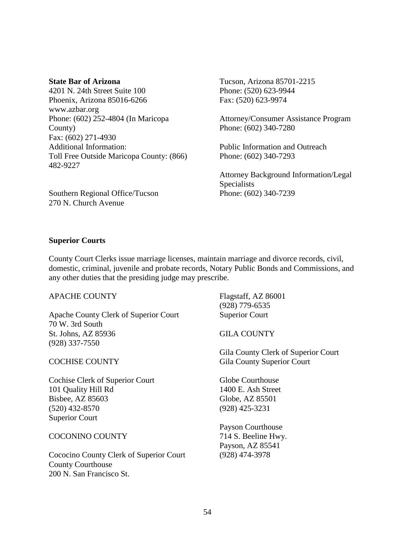#### **State Bar of Arizona**

4201 N. 24th Street Suite 100 Phoenix, Arizona 85016-6266 www.azbar.org Phone: (602) 252-4804 (In Maricopa County) Fax: (602) 271-4930 Additional Information: Toll Free Outside Maricopa County: (866) 482-9227

Southern Regional Office/Tucson 270 N. Church Avenue

Tucson, Arizona 85701-2215 Phone: (520) 623-9944 Fax: (520) 623-9974

Attorney/Consumer Assistance Program Phone: (602) 340-7280

Public Information and Outreach Phone: (602) 340-7293

Attorney Background Information/Legal Specialists Phone: (602) 340-7239

### **Superior Courts**

County Court Clerks issue marriage licenses, maintain marriage and divorce records, civil, domestic, criminal, juvenile and probate records, Notary Public Bonds and Commissions, and any other duties that the presiding judge may prescribe.

| <b>APACHE COUNTY</b>                         | Flagstaff, AZ 86001                 |
|----------------------------------------------|-------------------------------------|
|                                              | $(928)$ 779-6535                    |
| <b>Apache County Clerk of Superior Court</b> | <b>Superior Court</b>               |
| 70 W. 3rd South                              |                                     |
| St. Johns, AZ 85936                          | <b>GILA COUNTY</b>                  |
| (928) 337-7550                               |                                     |
|                                              | Gila County Clerk of Superior Court |
| <b>COCHISE COUNTY</b>                        | <b>Gila County Superior Court</b>   |
| Cochise Clerk of Superior Court              | Globe Courthouse                    |
| 101 Quality Hill Rd                          | 1400 E. Ash Street                  |
| Bisbee, AZ 85603                             | Globe, AZ 85501                     |
| $(520)$ 432-8570                             | (928) 425-3231                      |
| <b>Superior Court</b>                        |                                     |
|                                              | <b>Payson Courthouse</b>            |
| <b>COCONINO COUNTY</b>                       | 714 S. Beeline Hwy.                 |
|                                              | Payson, AZ 85541                    |
| Cococino County Clerk of Superior Court      | (928) 474-3978                      |
| <b>County Courthouse</b>                     |                                     |
| 200 N. San Francisco St.                     |                                     |
|                                              |                                     |
|                                              |                                     |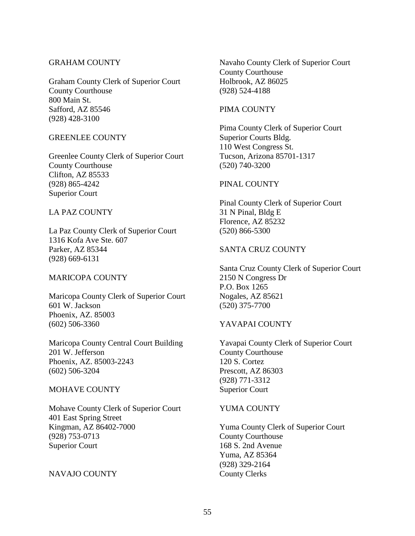## GRAHAM COUNTY

Graham County Clerk of Superior Court County Courthouse 800 Main St. Safford, AZ 85546 (928) 428-3100

#### GREENLEE COUNTY

Greenlee County Clerk of Superior Court County Courthouse Clifton, AZ 85533 (928) 865-4242 Superior Court

## LA PAZ COUNTY

La Paz County Clerk of Superior Court 1316 Kofa Ave Ste. 607 Parker, AZ 85344 (928) 669-6131

#### MARICOPA COUNTY

Maricopa County Clerk of Superior Court 601 W. Jackson Phoenix, AZ. 85003 (602) 506-3360

Maricopa County Central Court Building 201 W. Jefferson Phoenix, AZ. 85003-2243 (602) 506-3204

#### MOHAVE COUNTY

Mohave County Clerk of Superior Court 401 East Spring Street Kingman, AZ 86402-7000 (928) 753-0713 Superior Court

## NAVAJO COUNTY

Navaho County Clerk of Superior Court County Courthouse Holbrook, AZ 86025 (928) 524-4188

#### PIMA COUNTY

Pima County Clerk of Superior Court Superior Courts Bldg. 110 West Congress St. Tucson, Arizona 85701-1317 (520) 740-3200

### PINAL COUNTY

Pinal County Clerk of Superior Court 31 N Pinal, Bldg E Florence, AZ 85232 (520) 866-5300

## SANTA CRUZ COUNTY

Santa Cruz County Clerk of Superior Court 2150 N Congress Dr P.O. Box 1265 Nogales, AZ 85621 (520) 375-7700

## YAVAPAI COUNTY

Yavapai County Clerk of Superior Court County Courthouse 120 S. Cortez Prescott, AZ 86303 (928) 771-3312 Superior Court

#### YUMA COUNTY

Yuma County Clerk of Superior Court County Courthouse 168 S. 2nd Avenue Yuma, AZ 85364 (928) 329-2164 County Clerks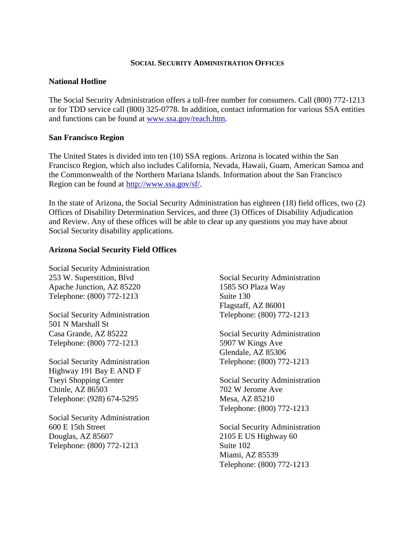## **SOCIAL SECURITY ADMINISTRATION OFFICES**

### **National Hotline**

The Social Security Administration offers a toll-free number for consumers. Call (800) 772-1213 or for TDD service call (800) 325-0778. In addition, contact information for various SSA entities and functions can be found at [www.ssa.gov/reach.htm.](http://www.ssa.gov/reach.htm)

#### **San Francisco Region**

The United States is divided into ten (10) SSA regions. Arizona is located within the San Francisco Region, which also includes California, Nevada, Hawaii, Guam, American Samoa and the Commonwealth of the Northern Mariana Islands. Information about the San Francisco Region can be found at [http://www.ssa.gov/sf/.](http://www.ssa.gov/sf/)

In the state of Arizona, the Social Security Administration has eighteen (18) field offices, two (2) Offices of Disability Determination Services, and three (3) Offices of Disability Adjudication and Review. Any of these offices will be able to clear up any questions you may have about Social Security disability applications.

## **Arizona Social Security Field Offices**

Social Security Administration 253 W. Superstition, Blvd Apache Junction, AZ 85220 Telephone: (800) 772-1213

Social Security Administration 501 N Marshall St Casa Grande, AZ 85222 Telephone: (800) 772-1213

Social Security Administration Highway 191 Bay E AND F Tseyi Shopping Center Chinle, AZ 86503 Telephone: (928) 674-5295

Social Security Administration 600 E 15th Street Douglas, AZ 85607 Telephone: (800) 772-1213

Social Security Administration 1585 SO Plaza Way Suite 130 Flagstaff, AZ 86001 Telephone: (800) 772-1213

Social Security Administration 5907 W Kings Ave Glendale, AZ 85306 Telephone: (800) 772-1213

Social Security Administration 702 W Jerome Ave Mesa, AZ 85210 Telephone: (800) 772-1213

Social Security Administration 2105 E US Highway 60 Suite 102 Miami, AZ 85539 Telephone: (800) 772-1213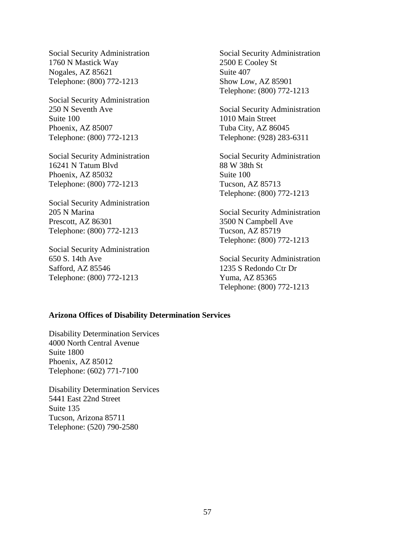Social Security Administration 1760 N Mastick Way Nogales, AZ 85621 Telephone: (800) 772-1213

Social Security Administration 250 N Seventh Ave Suite 100 Phoenix, AZ 85007 Telephone: (800) 772-1213

Social Security Administration 16241 N Tatum Blvd Phoenix, AZ 85032 Telephone: (800) 772-1213

Social Security Administration 205 N Marina Prescott, AZ 86301 Telephone: (800) 772-1213

Social Security Administration 650 S. 14th Ave Safford, AZ 85546 Telephone: (800) 772-1213

Social Security Administration 2500 E Cooley St Suite 407 Show Low, AZ 85901 Telephone: (800) 772-1213

Social Security Administration 1010 Main Street Tuba City, AZ 86045 Telephone: (928) 283-6311

Social Security Administration 88 W 38th St Suite 100 Tucson, AZ 85713 Telephone: (800) 772-1213

Social Security Administration 3500 N Campbell Ave Tucson, AZ 85719 Telephone: (800) 772-1213

Social Security Administration 1235 S Redondo Ctr Dr Yuma, AZ 85365 Telephone: (800) 772-1213

#### **Arizona Offices of Disability Determination Services**

Disability Determination Services 4000 North Central Avenue Suite 1800 Phoenix, AZ 85012 Telephone: (602) 771-7100

Disability Determination Services 5441 East 22nd Street Suite 135 Tucson, Arizona 85711 Telephone: (520) 790-2580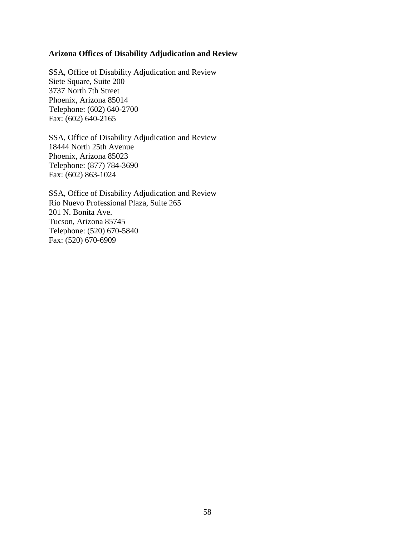## **Arizona Offices of Disability Adjudication and Review**

SSA, Office of Disability Adjudication and Review Siete Square, Suite 200 3737 North 7th Street Phoenix, Arizona 85014 Telephone: (602) 640-2700 Fax: (602) 640-2165

SSA, Office of Disability Adjudication and Review 18444 North 25th Avenue Phoenix, Arizona 85023 Telephone: (877) 784-3690 Fax: (602) 863-1024

SSA, Office of Disability Adjudication and Review Rio Nuevo Professional Plaza, Suite 265 201 N. Bonita Ave. Tucson, Arizona 85745 Telephone: (520) 670-5840 Fax: (520) 670-6909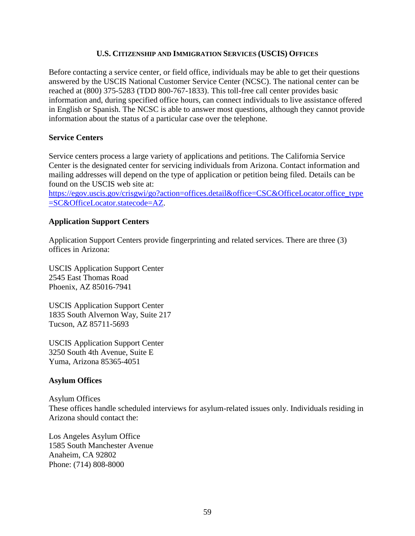## **U.S. CITIZENSHIP AND IMMIGRATION SERVICES (USCIS) OFFICES**

Before contacting a service center, or field office, individuals may be able to get their questions answered by the USCIS National Customer Service Center (NCSC). The national center can be reached at (800) 375-5283 (TDD 800-767-1833). This toll-free call center provides basic information and, during specified office hours, can connect individuals to live assistance offered in English or Spanish. The NCSC is able to answer most questions, although they cannot provide information about the status of a particular case over the telephone.

## **Service Centers**

Service centers process a large variety of applications and petitions. The California Service Center is the designated center for servicing individuals from Arizona. Contact information and mailing addresses will depend on the type of application or petition being filed. Details can be found on the USCIS web site at:

[https://egov.uscis.gov/crisgwi/go?action=offices.detail&office=CSC&OfficeLocator.office\\_type](https://egov.uscis.gov/crisgwi/go?action=offices.detail&office=CSC&OfficeLocator.office_type=SC&OfficeLocator.statecode=AZ) [=SC&OfficeLocator.statecode=AZ.](https://egov.uscis.gov/crisgwi/go?action=offices.detail&office=CSC&OfficeLocator.office_type=SC&OfficeLocator.statecode=AZ)

## **Application Support Centers**

Application Support Centers provide fingerprinting and related services. There are three (3) offices in Arizona:

USCIS Application Support Center 2545 East Thomas Road Phoenix, AZ 85016-7941

USCIS Application Support Center 1835 South Alvernon Way, Suite 217 Tucson, AZ 85711-5693

USCIS Application Support Center 3250 South 4th Avenue, Suite E Yuma, Arizona 85365-4051

# **Asylum Offices**

# Asylum Offices

These offices handle scheduled interviews for asylum-related issues only. Individuals residing in Arizona should contact the:

Los Angeles Asylum Office 1585 South Manchester Avenue Anaheim, CA 92802 Phone: (714) 808-8000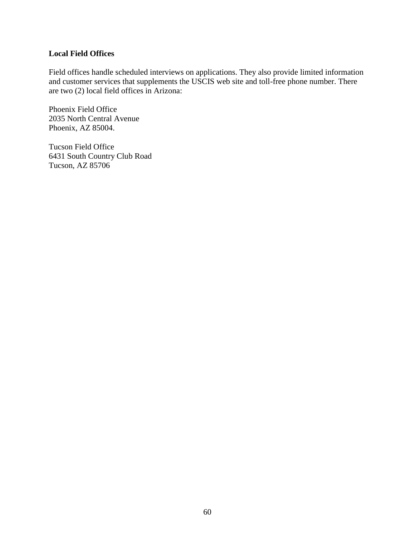## **Local Field Offices**

Field offices handle scheduled interviews on applications. They also provide limited information and customer services that supplements the USCIS web site and toll-free phone number. There are two (2) local field offices in Arizona:

Phoenix Field Office 2035 North Central Avenue Phoenix, AZ 85004.

Tucson Field Office 6431 South Country Club Road Tucson, AZ 85706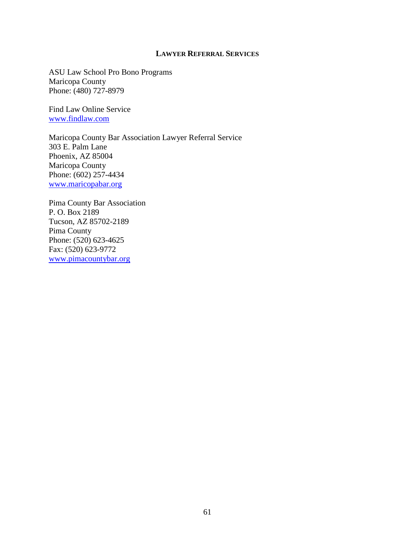## **LAWYER REFERRAL SERVICES**

ASU Law School Pro Bono Programs Maricopa County Phone: (480) 727-8979

Find Law Online Service [www.findlaw.com](http://www.findlaw.com/)

Maricopa County Bar Association Lawyer Referral Service 303 E. Palm Lane Phoenix, AZ 85004 Maricopa County Phone: (602) 257-4434 [www.maricopabar.org](http://www.maricopabar.org/displaycommon.cfm?an=16)

Pima County Bar Association P. O. Box 2189 Tucson, AZ 85702-2189 Pima County Phone: (520) 623-4625 Fax: (520) 623-9772 [www.pimacountybar.org](http://www.pimacountybar.org/)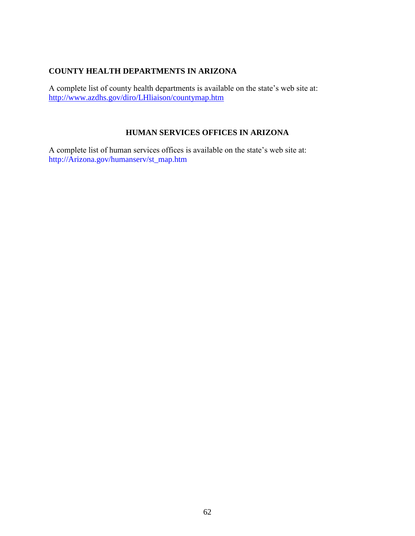# **COUNTY HEALTH DEPARTMENTS IN ARIZONA**

A complete list of county health departments is available on the state's web site at: <http://www.azdhs.gov/diro/LHliaison/countymap.htm>

# **HUMAN SERVICES OFFICES IN ARIZONA**

A complete list of human services offices is available on the state's web site at: http://Arizona.gov/humanserv/st\_map.htm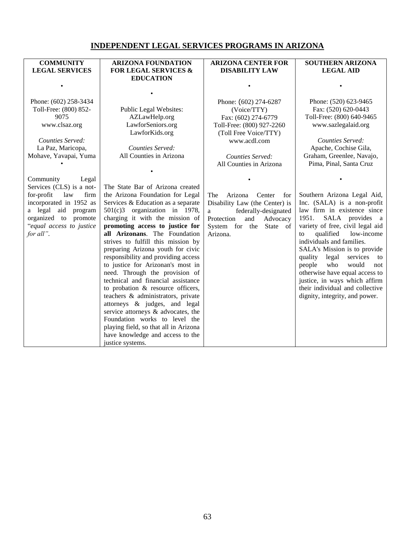# **INDEPENDENT LEGAL SERVICES PROGRAMS IN ARIZONA**

| <b>COMMUNITY</b>          | <b>ARIZONA FOUNDATION</b>                   | <b>ARIZONA CENTER FOR</b>       | <b>SOUTHERN ARIZONA</b>            |
|---------------------------|---------------------------------------------|---------------------------------|------------------------------------|
| <b>LEGAL SERVICES</b>     | <b>FOR LEGAL SERVICES &amp;</b>             | <b>DISABILITY LAW</b>           | <b>LEGAL AID</b>                   |
|                           | <b>EDUCATION</b>                            |                                 |                                    |
|                           |                                             |                                 |                                    |
|                           |                                             |                                 |                                    |
| Phone: (602) 258-3434     |                                             | Phone: (602) 274-6287           | Phone: (520) 623-9465              |
| Toll-Free: (800) 852-     | Public Legal Websites:                      | (Voice/TTY)                     | Fax: (520) 620-0443                |
| 9075                      | AZLawHelp.org                               | Fax: (602) 274-6779             | Toll-Free: (800) 640-9465          |
| www.clsaz.org             | LawforSeniors.org                           | Toll-Free: (800) 927-2260       | www.sazlegalaid.org                |
|                           | LawforKids.org                              | (Toll Free Voice/TTY)           |                                    |
| Counties Served:          |                                             | www.acdl.com                    | Counties Served:                   |
| La Paz, Maricopa,         | Counties Served:<br>All Counties in Arizona |                                 | Apache, Cochise Gila,              |
| Mohave, Yavapai, Yuma     |                                             | Counties Served:                | Graham, Greenlee, Navajo,          |
|                           |                                             | All Counties in Arizona         | Pima, Pinal, Santa Cruz            |
| Community<br>Legal        |                                             |                                 |                                    |
| Services (CLS) is a not-  | The State Bar of Arizona created            |                                 |                                    |
| for-profit<br>firm<br>law | the Arizona Foundation for Legal            | The<br>Arizona<br>Center<br>for | Southern Arizona Legal Aid,        |
| incorporated in 1952 as   | Services & Education as a separate          | Disability Law (the Center) is  | Inc. (SALA) is a non-profit        |
| a legal aid program       | $501(c)3$ organization in 1978,             | federally-designated<br>a       | law firm in existence since        |
| organized to promote      | charging it with the mission of             | Advocacy<br>Protection<br>and   | SALA provides a<br>1951.           |
| "equal access to justice" | promoting access to justice for             | System for the State of         | variety of free, civil legal aid   |
| for all".                 | all Arizonans. The Foundation               | Arizona.                        | qualified<br>low-income<br>to      |
|                           | strives to fulfill this mission by          |                                 | individuals and families.          |
|                           | preparing Arizona youth for civic           |                                 | SALA's Mission is to provide       |
|                           | responsibility and providing access         |                                 | legal<br>services<br>quality<br>to |
|                           | to justice for Arizonan's most in           |                                 | people<br>who<br>would<br>not      |
|                           | need. Through the provision of              |                                 | otherwise have equal access to     |
|                           | technical and financial assistance          |                                 | justice, in ways which affirm      |
|                           | to probation & resource officers,           |                                 | their individual and collective    |
|                           | teachers & administrators, private          |                                 | dignity, integrity, and power.     |
|                           | attorneys & judges, and legal               |                                 |                                    |
|                           | service attorneys & advocates, the          |                                 |                                    |
|                           | Foundation works to level the               |                                 |                                    |
|                           | playing field, so that all in Arizona       |                                 |                                    |
|                           | have knowledge and access to the            |                                 |                                    |
|                           | justice systems.                            |                                 |                                    |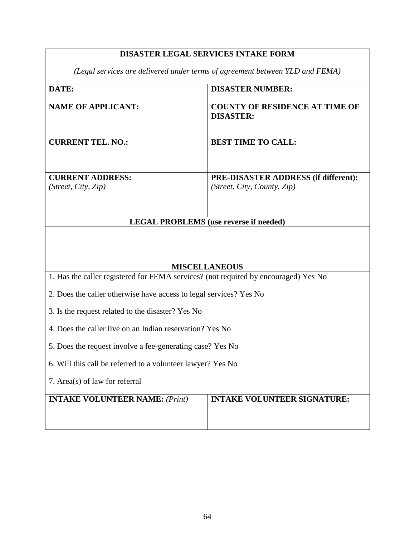# **DISASTER LEGAL SERVICES INTAKE FORM**

*(Legal services are delivered under terms of agreement between YLD and FEMA)*

| DATE:                                                                               | <b>DISASTER NUMBER:</b>                                   |  |
|-------------------------------------------------------------------------------------|-----------------------------------------------------------|--|
| <b>NAME OF APPLICANT:</b>                                                           | <b>COUNTY OF RESIDENCE AT TIME OF</b><br><b>DISASTER:</b> |  |
| <b>CURRENT TEL. NO.:</b>                                                            | <b>BEST TIME TO CALL:</b>                                 |  |
| <b>CURRENT ADDRESS:</b>                                                             | PRE-DISASTER ADDRESS (if different):                      |  |
| (Street, City, Zip)                                                                 | (Street, City, County, Zip)                               |  |
|                                                                                     | <b>LEGAL PROBLEMS</b> (use reverse if needed)             |  |
|                                                                                     |                                                           |  |
|                                                                                     | <b>MISCELLANEOUS</b>                                      |  |
| 1. Has the caller registered for FEMA services? (not required by encouraged) Yes No |                                                           |  |
| 2. Does the caller otherwise have access to legal services? Yes No                  |                                                           |  |
| 3. Is the request related to the disaster? Yes No                                   |                                                           |  |
| 4. Does the caller live on an Indian reservation? Yes No                            |                                                           |  |
| 5. Does the request involve a fee-generating case? Yes No                           |                                                           |  |
| 6. Will this call be referred to a volunteer lawyer? Yes No                         |                                                           |  |
| 7. Area(s) of law for referral                                                      |                                                           |  |
| <b>INTAKE VOLUNTEER NAME: (Print)</b>                                               | <b>INTAKE VOLUNTEER SIGNATURE:</b>                        |  |
|                                                                                     |                                                           |  |